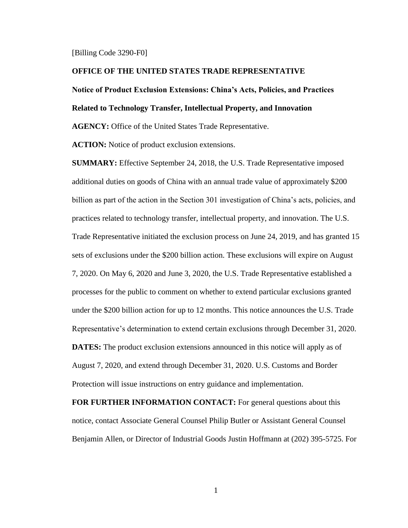#### [Billing Code 3290-F0]

#### **OFFICE OF THE UNITED STATES TRADE REPRESENTATIVE**

# **Notice of Product Exclusion Extensions: China's Acts, Policies, and Practices**

#### **Related to Technology Transfer, Intellectual Property, and Innovation**

**AGENCY:** Office of the United States Trade Representative.

**ACTION:** Notice of product exclusion extensions.

**SUMMARY:** Effective September 24, 2018, the U.S. Trade Representative imposed additional duties on goods of China with an annual trade value of approximately \$200 billion as part of the action in the Section 301 investigation of China's acts, policies, and practices related to technology transfer, intellectual property, and innovation. The U.S. Trade Representative initiated the exclusion process on June 24, 2019, and has granted 15 sets of exclusions under the \$200 billion action. These exclusions will expire on August 7, 2020. On May 6, 2020 and June 3, 2020, the U.S. Trade Representative established a processes for the public to comment on whether to extend particular exclusions granted under the \$200 billion action for up to 12 months. This notice announces the U.S. Trade Representative's determination to extend certain exclusions through December 31, 2020. **DATES:** The product exclusion extensions announced in this notice will apply as of August 7, 2020, and extend through December 31, 2020. U.S. Customs and Border Protection will issue instructions on entry guidance and implementation.

**FOR FURTHER INFORMATION CONTACT:** For general questions about this notice, contact Associate General Counsel Philip Butler or Assistant General Counsel Benjamin Allen, or Director of Industrial Goods Justin Hoffmann at (202) 395-5725. For

1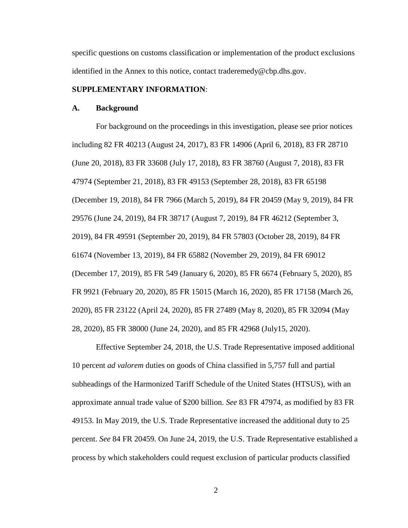specific questions on customs classification or implementation of the product exclusions identified in the Annex to this notice, contact [traderemedy@cbp.dhs.gov.](mailto:traderemedy@cbp.dhs.gov)

#### **SUPPLEMENTARY INFORMATION**:

#### **A. Background**

For background on the proceedings in this investigation, please see prior notices including 82 FR 40213 (August 24, 2017), 83 FR 14906 (April 6, 2018), 83 FR 28710 (June 20, 2018), 83 FR 33608 (July 17, 2018), 83 FR 38760 (August 7, 2018), 83 FR 47974 (September 21, 2018), 83 FR 49153 (September 28, 2018), 83 FR 65198 (December 19, 2018), 84 FR 7966 (March 5, 2019), 84 FR 20459 (May 9, 2019), 84 FR 29576 (June 24, 2019), 84 FR 38717 (August 7, 2019), 84 FR 46212 (September 3, 2019), 84 FR 49591 (September 20, 2019), 84 FR 57803 (October 28, 2019), 84 FR 61674 (November 13, 2019), 84 FR 65882 (November 29, 2019), 84 FR 69012 (December 17, 2019), 85 FR 549 (January 6, 2020), 85 FR 6674 (February 5, 2020), 85 FR 9921 (February 20, 2020), 85 FR 15015 (March 16, 2020), 85 FR 17158 (March 26, 2020), 85 FR 23122 (April 24, 2020), 85 FR 27489 (May 8, 2020), 85 FR 32094 (May 28, 2020), 85 FR 38000 (June 24, 2020), and 85 FR 42968 (July15, 2020).

Effective September 24, 2018, the U.S. Trade Representative imposed additional 10 percent *ad valorem* duties on goods of China classified in 5,757 full and partial subheadings of the Harmonized Tariff Schedule of the United States (HTSUS), with an approximate annual trade value of \$200 billion. *See* 83 FR 47974, as modified by 83 FR 49153. In May 2019, the U.S. Trade Representative increased the additional duty to 25 percent. *See* 84 FR 20459. On June 24, 2019, the U.S. Trade Representative established a process by which stakeholders could request exclusion of particular products classified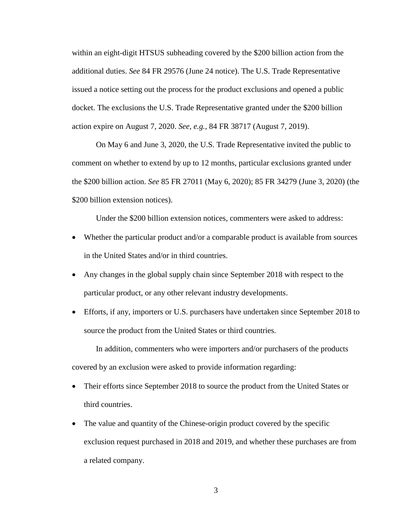within an eight-digit HTSUS subheading covered by the \$200 billion action from the additional duties. *See* 84 FR 29576 (June 24 notice). The U.S. Trade Representative issued a notice setting out the process for the product exclusions and opened a public docket. The exclusions the U.S. Trade Representative granted under the \$200 billion action expire on August 7, 2020. *See, e.g.,* 84 FR 38717 (August 7, 2019).

On May 6 and June 3, 2020, the U.S. Trade Representative invited the public to comment on whether to extend by up to 12 months, particular exclusions granted under the \$200 billion action. *See* 85 FR 27011 (May 6, 2020); 85 FR 34279 (June 3, 2020) (the \$200 billion extension notices).

Under the \$200 billion extension notices, commenters were asked to address:

- Whether the particular product and/or a comparable product is available from sources in the United States and/or in third countries.
- Any changes in the global supply chain since September 2018 with respect to the particular product, or any other relevant industry developments.
- Efforts, if any, importers or U.S. purchasers have undertaken since September 2018 to source the product from the United States or third countries.

In addition, commenters who were importers and/or purchasers of the products covered by an exclusion were asked to provide information regarding:

- Their efforts since September 2018 to source the product from the United States or third countries.
- The value and quantity of the Chinese-origin product covered by the specific exclusion request purchased in 2018 and 2019, and whether these purchases are from a related company.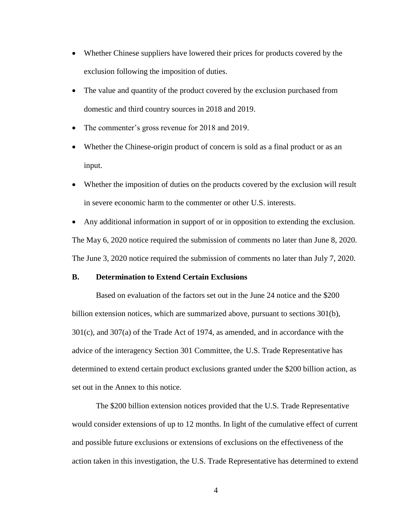- Whether Chinese suppliers have lowered their prices for products covered by the exclusion following the imposition of duties.
- The value and quantity of the product covered by the exclusion purchased from domestic and third country sources in 2018 and 2019.
- The commenter's gross revenue for 2018 and 2019.
- Whether the Chinese-origin product of concern is sold as a final product or as an input.
- Whether the imposition of duties on the products covered by the exclusion will result in severe economic harm to the commenter or other U.S. interests.
- Any additional information in support of or in opposition to extending the exclusion. The May 6, 2020 notice required the submission of comments no later than June 8, 2020. The June 3, 2020 notice required the submission of comments no later than July 7, 2020.

#### **B. Determination to Extend Certain Exclusions**

Based on evaluation of the factors set out in the June 24 notice and the \$200 billion extension notices, which are summarized above, pursuant to sections 301(b), 301(c), and 307(a) of the Trade Act of 1974, as amended, and in accordance with the advice of the interagency Section 301 Committee, the U.S. Trade Representative has determined to extend certain product exclusions granted under the \$200 billion action, as set out in the Annex to this notice.

The \$200 billion extension notices provided that the U.S. Trade Representative would consider extensions of up to 12 months. In light of the cumulative effect of current and possible future exclusions or extensions of exclusions on the effectiveness of the action taken in this investigation, the U.S. Trade Representative has determined to extend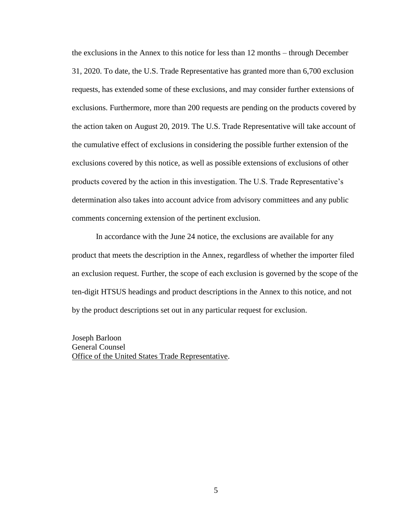the exclusions in the Annex to this notice for less than 12 months – through December 31, 2020. To date, the U.S. Trade Representative has granted more than 6,700 exclusion requests, has extended some of these exclusions, and may consider further extensions of exclusions. Furthermore, more than 200 requests are pending on the products covered by the action taken on August 20, 2019. The U.S. Trade Representative will take account of the cumulative effect of exclusions in considering the possible further extension of the exclusions covered by this notice, as well as possible extensions of exclusions of other products covered by the action in this investigation. The U.S. Trade Representative's determination also takes into account advice from advisory committees and any public comments concerning extension of the pertinent exclusion.

In accordance with the June 24 notice, the exclusions are available for any product that meets the description in the Annex, regardless of whether the importer filed an exclusion request. Further, the scope of each exclusion is governed by the scope of the ten-digit HTSUS headings and product descriptions in the Annex to this notice, and not by the product descriptions set out in any particular request for exclusion.

Joseph Barloon General Counsel Office of the United States Trade Representative.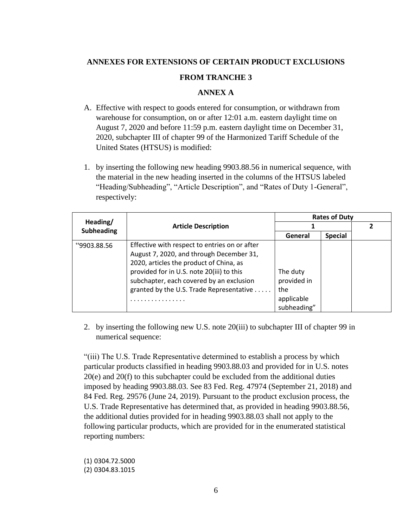# **ANNEXES FOR EXTENSIONS OF CERTAIN PRODUCT EXCLUSIONS**

### **FROM TRANCHE 3**

## **ANNEX A**

- A. Effective with respect to goods entered for consumption, or withdrawn from warehouse for consumption, on or after 12:01 a.m. eastern daylight time on August 7, 2020 and before 11:59 p.m. eastern daylight time on December 31, 2020, subchapter III of chapter 99 of the Harmonized Tariff Schedule of the United States (HTSUS) is modified:
- 1. by inserting the following new heading 9903.88.56 in numerical sequence, with the material in the new heading inserted in the columns of the HTSUS labeled "Heading/Subheading", "Article Description", and "Rates of Duty 1-General", respectively:

|                   |                                               | <b>Rates of Duty</b> |                |  |
|-------------------|-----------------------------------------------|----------------------|----------------|--|
| Heading/          | <b>Article Description</b>                    |                      |                |  |
| <b>Subheading</b> |                                               | General              | <b>Special</b> |  |
| "9903.88.56       | Effective with respect to entries on or after |                      |                |  |
|                   | August 7, 2020, and through December 31,      |                      |                |  |
|                   | 2020, articles the product of China, as       |                      |                |  |
|                   | provided for in U.S. note 20(iii) to this     | The duty             |                |  |
|                   | subchapter, each covered by an exclusion      | provided in          |                |  |
|                   | granted by the U.S. Trade Representative      | the                  |                |  |
|                   |                                               | applicable           |                |  |
|                   |                                               | subheading"          |                |  |

2. by inserting the following new U.S. note 20(iii) to subchapter III of chapter 99 in numerical sequence:

"(iii) The U.S. Trade Representative determined to establish a process by which particular products classified in heading 9903.88.03 and provided for in U.S. notes 20(e) and 20(f) to this subchapter could be excluded from the additional duties imposed by heading 9903.88.03. See 83 Fed. Reg. 47974 (September 21, 2018) and 84 Fed. Reg. 29576 (June 24, 2019). Pursuant to the product exclusion process, the U.S. Trade Representative has determined that, as provided in heading 9903.88.56, the additional duties provided for in heading 9903.88.03 shall not apply to the following particular products, which are provided for in the enumerated statistical reporting numbers:

(1) 0304.72.5000 (2) 0304.83.1015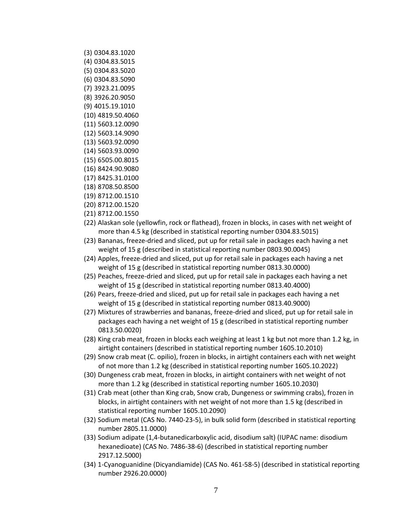- (3) 0304.83.1020
- (4) 0304.83.5015
- (5) 0304.83.5020
- (6) 0304.83.5090
- (7) 3923.21.0095
- (8) 3926.20.9050
- (9) 4015.19.1010
- (10) 4819.50.4060
- (11) 5603.12.0090
- (12) 5603.14.9090
- (13) 5603.92.0090
- (14) 5603.93.0090
- (15) 6505.00.8015
- (16) 8424.90.9080
- (17) 8425.31.0100
- (18) 8708.50.8500
- (19) 8712.00.1510
- (20) 8712.00.1520
- (21) 8712.00.1550
- (22) Alaskan sole (yellowfin, rock or flathead), frozen in blocks, in cases with net weight of more than 4.5 kg (described in statistical reporting number 0304.83.5015)
- (23) Bananas, freeze-dried and sliced, put up for retail sale in packages each having a net weight of 15 g (described in statistical reporting number 0803.90.0045)
- (24) Apples, freeze-dried and sliced, put up for retail sale in packages each having a net weight of 15 g (described in statistical reporting number 0813.30.0000)
- (25) Peaches, freeze-dried and sliced, put up for retail sale in packages each having a net weight of 15 g (described in statistical reporting number 0813.40.4000)
- (26) Pears, freeze-dried and sliced, put up for retail sale in packages each having a net weight of 15 g (described in statistical reporting number 0813.40.9000)
- (27) Mixtures of strawberries and bananas, freeze-dried and sliced, put up for retail sale in packages each having a net weight of 15 g (described in statistical reporting number 0813.50.0020)
- (28) King crab meat, frozen in blocks each weighing at least 1 kg but not more than 1.2 kg, in airtight containers (described in statistical reporting number 1605.10.2010)
- (29) Snow crab meat (C. opilio), frozen in blocks, in airtight containers each with net weight of not more than 1.2 kg (described in statistical reporting number 1605.10.2022)
- (30) Dungeness crab meat, frozen in blocks, in airtight containers with net weight of not more than 1.2 kg (described in statistical reporting number 1605.10.2030)
- (31) Crab meat (other than King crab, Snow crab, Dungeness or swimming crabs), frozen in blocks, in airtight containers with net weight of not more than 1.5 kg (described in statistical reporting number 1605.10.2090)
- (32) Sodium metal (CAS No. 7440-23-5), in bulk solid form (described in statistical reporting number 2805.11.0000)
- (33) Sodium adipate (1,4-butanedicarboxylic acid, disodium salt) (IUPAC name: disodium hexanedioate) (CAS No. 7486-38-6) (described in statistical reporting number 2917.12.5000)
- (34) 1-Cyanoguanidine (Dicyandiamide) (CAS No. 461-58-5) (described in statistical reporting number 2926.20.0000)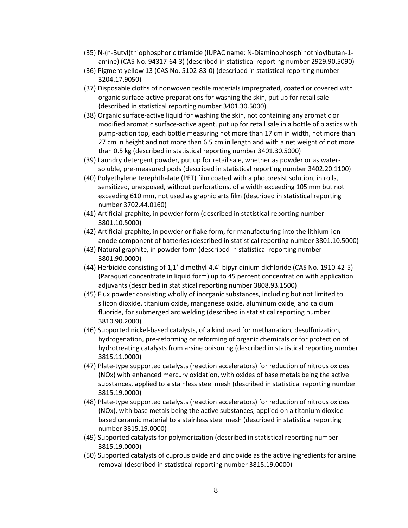- (35) N-(n-Butyl)thiophosphoric triamide (IUPAC name: N-Diaminophosphinothioylbutan-1 amine) (CAS No. 94317-64-3) (described in statistical reporting number 2929.90.5090)
- (36) Pigment yellow 13 (CAS No. 5102-83-0) (described in statistical reporting number 3204.17.9050)
- (37) Disposable cloths of nonwoven textile materials impregnated, coated or covered with organic surface-active preparations for washing the skin, put up for retail sale (described in statistical reporting number 3401.30.5000)
- (38) Organic surface-active liquid for washing the skin, not containing any aromatic or modified aromatic surface-active agent, put up for retail sale in a bottle of plastics with pump-action top, each bottle measuring not more than 17 cm in width, not more than 27 cm in height and not more than 6.5 cm in length and with a net weight of not more than 0.5 kg (described in statistical reporting number 3401.30.5000)
- (39) Laundry detergent powder, put up for retail sale, whether as powder or as watersoluble, pre-measured pods (described in statistical reporting number 3402.20.1100)
- (40) Polyethylene terephthalate (PET) film coated with a photoresist solution, in rolls, sensitized, unexposed, without perforations, of a width exceeding 105 mm but not exceeding 610 mm, not used as graphic arts film (described in statistical reporting number 3702.44.0160)
- (41) Artificial graphite, in powder form (described in statistical reporting number 3801.10.5000)
- (42) Artificial graphite, in powder or flake form, for manufacturing into the lithium-ion anode component of batteries (described in statistical reporting number 3801.10.5000)
- (43) Natural graphite, in powder form (described in statistical reporting number 3801.90.0000)
- (44) Herbicide consisting of 1,1'-dimethyl-4,4'-bipyridinium dichloride (CAS No. 1910-42-5) (Paraquat concentrate in liquid form) up to 45 percent concentration with application adjuvants (described in statistical reporting number 3808.93.1500)
- (45) Flux powder consisting wholly of inorganic substances, including but not limited to silicon dioxide, titanium oxide, manganese oxide, aluminum oxide, and calcium fluoride, for submerged arc welding (described in statistical reporting number 3810.90.2000)
- (46) Supported nickel-based catalysts, of a kind used for methanation, desulfurization, hydrogenation, pre-reforming or reforming of organic chemicals or for protection of hydrotreating catalysts from arsine poisoning (described in statistical reporting number 3815.11.0000)
- (47) Plate-type supported catalysts (reaction accelerators) for reduction of nitrous oxides (NOx) with enhanced mercury oxidation, with oxides of base metals being the active substances, applied to a stainless steel mesh (described in statistical reporting number 3815.19.0000)
- (48) Plate-type supported catalysts (reaction accelerators) for reduction of nitrous oxides (NOx), with base metals being the active substances, applied on a titanium dioxide based ceramic material to a stainless steel mesh (described in statistical reporting number 3815.19.0000)
- (49) Supported catalysts for polymerization (described in statistical reporting number 3815.19.0000)
- (50) Supported catalysts of cuprous oxide and zinc oxide as the active ingredients for arsine removal (described in statistical reporting number 3815.19.0000)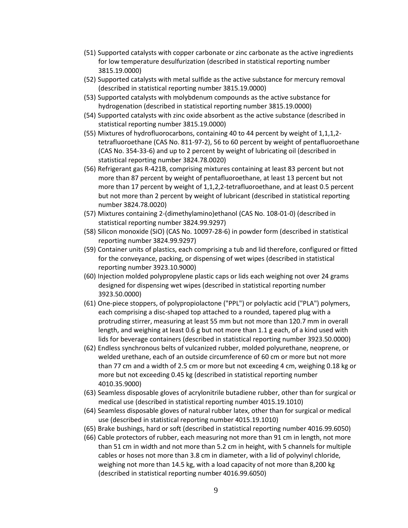- (51) Supported catalysts with copper carbonate or zinc carbonate as the active ingredients for low temperature desulfurization (described in statistical reporting number 3815.19.0000)
- (52) Supported catalysts with metal sulfide as the active substance for mercury removal (described in statistical reporting number 3815.19.0000)
- (53) Supported catalysts with molybdenum compounds as the active substance for hydrogenation (described in statistical reporting number 3815.19.0000)
- (54) Supported catalysts with zinc oxide absorbent as the active substance (described in statistical reporting number 3815.19.0000)
- (55) Mixtures of hydrofluorocarbons, containing 40 to 44 percent by weight of 1,1,1,2 tetrafluoroethane (CAS No. 811-97-2), 56 to 60 percent by weight of pentafluoroethane (CAS No. 354-33-6) and up to 2 percent by weight of lubricating oil (described in statistical reporting number 3824.78.0020)
- (56) Refrigerant gas R-421B, comprising mixtures containing at least 83 percent but not more than 87 percent by weight of pentafluoroethane, at least 13 percent but not more than 17 percent by weight of 1,1,2,2-tetrafluoroethane, and at least 0.5 percent but not more than 2 percent by weight of lubricant (described in statistical reporting number 3824.78.0020)
- (57) Mixtures containing 2-(dimethylamino)ethanol (CAS No. 108-01-0) (described in statistical reporting number 3824.99.9297)
- (58) Silicon monoxide (SiO) (CAS No. 10097-28-6) in powder form (described in statistical reporting number 3824.99.9297)
- (59) Container units of plastics, each comprising a tub and lid therefore, configured or fitted for the conveyance, packing, or dispensing of wet wipes (described in statistical reporting number 3923.10.9000)
- (60) Injection molded polypropylene plastic caps or lids each weighing not over 24 grams designed for dispensing wet wipes (described in statistical reporting number 3923.50.0000)
- (61) One-piece stoppers, of polypropiolactone ("PPL") or polylactic acid ("PLA") polymers, each comprising a disc-shaped top attached to a rounded, tapered plug with a protruding stirrer, measuring at least 55 mm but not more than 120.7 mm in overall length, and weighing at least 0.6 g but not more than 1.1 g each, of a kind used with lids for beverage containers (described in statistical reporting number 3923.50.0000)
- (62) Endless synchronous belts of vulcanized rubber, molded polyurethane, neoprene, or welded urethane, each of an outside circumference of 60 cm or more but not more than 77 cm and a width of 2.5 cm or more but not exceeding 4 cm, weighing 0.18 kg or more but not exceeding 0.45 kg (described in statistical reporting number 4010.35.9000)
- (63) Seamless disposable gloves of acrylonitrile butadiene rubber, other than for surgical or medical use (described in statistical reporting number 4015.19.1010)
- (64) Seamless disposable gloves of natural rubber latex, other than for surgical or medical use (described in statistical reporting number 4015.19.1010)
- (65) Brake bushings, hard or soft (described in statistical reporting number 4016.99.6050)
- (66) Cable protectors of rubber, each measuring not more than 91 cm in length, not more than 51 cm in width and not more than 5.2 cm in height, with 5 channels for multiple cables or hoses not more than 3.8 cm in diameter, with a lid of polyvinyl chloride, weighing not more than 14.5 kg, with a load capacity of not more than 8,200 kg (described in statistical reporting number 4016.99.6050)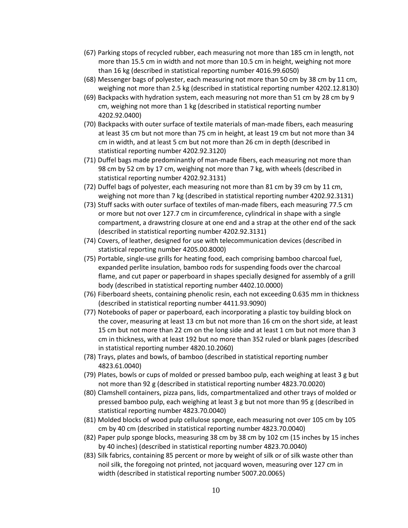- (67) Parking stops of recycled rubber, each measuring not more than 185 cm in length, not more than 15.5 cm in width and not more than 10.5 cm in height, weighing not more than 16 kg (described in statistical reporting number 4016.99.6050)
- (68) Messenger bags of polyester, each measuring not more than 50 cm by 38 cm by 11 cm, weighing not more than 2.5 kg (described in statistical reporting number 4202.12.8130)
- (69) Backpacks with hydration system, each measuring not more than 51 cm by 28 cm by 9 cm, weighing not more than 1 kg (described in statistical reporting number 4202.92.0400)
- (70) Backpacks with outer surface of textile materials of man-made fibers, each measuring at least 35 cm but not more than 75 cm in height, at least 19 cm but not more than 34 cm in width, and at least 5 cm but not more than 26 cm in depth (described in statistical reporting number 4202.92.3120)
- (71) Duffel bags made predominantly of man-made fibers, each measuring not more than 98 cm by 52 cm by 17 cm, weighing not more than 7 kg, with wheels (described in statistical reporting number 4202.92.3131)
- (72) Duffel bags of polyester, each measuring not more than 81 cm by 39 cm by 11 cm, weighing not more than 7 kg (described in statistical reporting number 4202.92.3131)
- (73) Stuff sacks with outer surface of textiles of man-made fibers, each measuring 77.5 cm or more but not over 127.7 cm in circumference, cylindrical in shape with a single compartment, a drawstring closure at one end and a strap at the other end of the sack (described in statistical reporting number 4202.92.3131)
- (74) Covers, of leather, designed for use with telecommunication devices (described in statistical reporting number 4205.00.8000)
- (75) Portable, single-use grills for heating food, each comprising bamboo charcoal fuel, expanded perlite insulation, bamboo rods for suspending foods over the charcoal flame, and cut paper or paperboard in shapes specially designed for assembly of a grill body (described in statistical reporting number 4402.10.0000)
- (76) Fiberboard sheets, containing phenolic resin, each not exceeding 0.635 mm in thickness (described in statistical reporting number 4411.93.9090)
- (77) Notebooks of paper or paperboard, each incorporating a plastic toy building block on the cover, measuring at least 13 cm but not more than 16 cm on the short side, at least 15 cm but not more than 22 cm on the long side and at least 1 cm but not more than 3 cm in thickness, with at least 192 but no more than 352 ruled or blank pages (described in statistical reporting number 4820.10.2060)
- (78) Trays, plates and bowls, of bamboo (described in statistical reporting number 4823.61.0040)
- (79) Plates, bowls or cups of molded or pressed bamboo pulp, each weighing at least 3 g but not more than 92 g (described in statistical reporting number 4823.70.0020)
- (80) Clamshell containers, pizza pans, lids, compartmentalized and other trays of molded or pressed bamboo pulp, each weighing at least 3 g but not more than 95 g (described in statistical reporting number 4823.70.0040)
- (81) Molded blocks of wood pulp cellulose sponge, each measuring not over 105 cm by 105 cm by 40 cm (described in statistical reporting number 4823.70.0040)
- (82) Paper pulp sponge blocks, measuring 38 cm by 38 cm by 102 cm (15 inches by 15 inches by 40 inches) (described in statistical reporting number 4823.70.0040)
- (83) Silk fabrics, containing 85 percent or more by weight of silk or of silk waste other than noil silk, the foregoing not printed, not jacquard woven, measuring over 127 cm in width (described in statistical reporting number 5007.20.0065)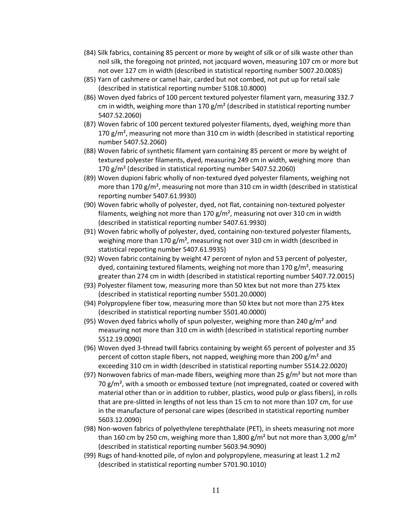- (84) Silk fabrics, containing 85 percent or more by weight of silk or of silk waste other than noil silk, the foregoing not printed, not jacquard woven, measuring 107 cm or more but not over 127 cm in width (described in statistical reporting number 5007.20.0085)
- (85) Yarn of cashmere or camel hair, carded but not combed, not put up for retail sale (described in statistical reporting number 5108.10.8000)
- (86) Woven dyed fabrics of 100 percent textured polyester filament yarn, measuring 332.7 cm in width, weighing more than 170  $g/m^2$  (described in statistical reporting number 5407.52.2060)
- (87) Woven fabric of 100 percent textured polyester filaments, dyed, weighing more than 170  $g/m<sup>2</sup>$ , measuring not more than 310 cm in width (described in statistical reporting number 5407.52.2060)
- (88) Woven fabric of synthetic filament yarn containing 85 percent or more by weight of textured polyester filaments, dyed, measuring 249 cm in width, weighing more than 170 g/m² (described in statistical reporting number 5407.52.2060)
- (89) Woven dupioni fabric wholly of non-textured dyed polyester filaments, weighing not more than 170 g/m², measuring not more than 310 cm in width (described in statistical reporting number 5407.61.9930)
- (90) Woven fabric wholly of polyester, dyed, not flat, containing non-textured polyester filaments, weighing not more than 170  $g/m^2$ , measuring not over 310 cm in width (described in statistical reporting number 5407.61.9930)
- (91) Woven fabric wholly of polyester, dyed, containing non-textured polyester filaments, weighing more than 170  $g/m^2$ , measuring not over 310 cm in width (described in statistical reporting number 5407.61.9935)
- (92) Woven fabric containing by weight 47 percent of nylon and 53 percent of polyester, dyed, containing textured filaments, weighing not more than 170  $g/m^2$ , measuring greater than 274 cm in width (described in statistical reporting number 5407.72.0015)
- (93) Polyester filament tow, measuring more than 50 ktex but not more than 275 ktex (described in statistical reporting number 5501.20.0000)
- (94) Polypropylene fiber tow, measuring more than 50 ktex but not more than 275 ktex (described in statistical reporting number 5501.40.0000)
- (95) Woven dyed fabrics wholly of spun polyester, weighing more than 240 g/m<sup>2</sup> and measuring not more than 310 cm in width (described in statistical reporting number 5512.19.0090)
- (96) Woven dyed 3-thread twill fabrics containing by weight 65 percent of polyester and 35 percent of cotton staple fibers, not napped, weighing more than 200 g/m<sup>2</sup> and exceeding 310 cm in width (described in statistical reporting number 5514.22.0020)
- (97) Nonwoven fabrics of man-made fibers, weighing more than  $25 \text{ g/m}^2$  but not more than 70  $g/m^2$ , with a smooth or embossed texture (not impregnated, coated or covered with material other than or in addition to rubber, plastics, wood pulp or glass fibers), in rolls that are pre-slitted in lengths of not less than 15 cm to not more than 107 cm, for use in the manufacture of personal care wipes (described in statistical reporting number 5603.12.0090)
- (98) Non-woven fabrics of polyethylene terephthalate (PET), in sheets measuring not more than 160 cm by 250 cm, weighing more than 1,800 g/m<sup>2</sup> but not more than 3,000 g/m<sup>2</sup> (described in statistical reporting number 5603.94.9090)
- (99) Rugs of hand-knotted pile, of nylon and polypropylene, measuring at least 1.2 m2 (described in statistical reporting number 5701.90.1010)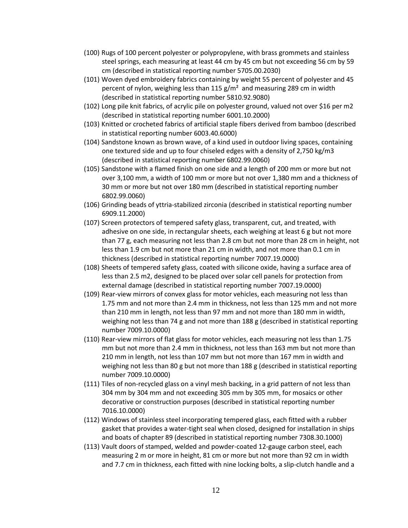- (100) Rugs of 100 percent polyester or polypropylene, with brass grommets and stainless steel springs, each measuring at least 44 cm by 45 cm but not exceeding 56 cm by 59 cm (described in statistical reporting number 5705.00.2030)
- (101) Woven dyed embroidery fabrics containing by weight 55 percent of polyester and 45 percent of nylon, weighing less than 115  $g/m^2$  and measuring 289 cm in width (described in statistical reporting number 5810.92.9080)
- (102) Long pile knit fabrics, of acrylic pile on polyester ground, valued not over \$16 per m2 (described in statistical reporting number 6001.10.2000)
- (103) Knitted or crocheted fabrics of artificial staple fibers derived from bamboo (described in statistical reporting number 6003.40.6000)
- (104) Sandstone known as brown wave, of a kind used in outdoor living spaces, containing one textured side and up to four chiseled edges with a density of 2,750 kg/m3 (described in statistical reporting number 6802.99.0060)
- (105) Sandstone with a flamed finish on one side and a length of 200 mm or more but not over 3,100 mm, a width of 100 mm or more but not over 1,380 mm and a thickness of 30 mm or more but not over 180 mm (described in statistical reporting number 6802.99.0060)
- (106) Grinding beads of yttria-stabilized zirconia (described in statistical reporting number 6909.11.2000)
- (107) Screen protectors of tempered safety glass, transparent, cut, and treated, with adhesive on one side, in rectangular sheets, each weighing at least 6 g but not more than 77 g, each measuring not less than 2.8 cm but not more than 28 cm in height, not less than 1.9 cm but not more than 21 cm in width, and not more than 0.1 cm in thickness (described in statistical reporting number 7007.19.0000)
- (108) Sheets of tempered safety glass, coated with silicone oxide, having a surface area of less than 2.5 m2, designed to be placed over solar cell panels for protection from external damage (described in statistical reporting number 7007.19.0000)
- (109) Rear-view mirrors of convex glass for motor vehicles, each measuring not less than 1.75 mm and not more than 2.4 mm in thickness, not less than 125 mm and not more than 210 mm in length, not less than 97 mm and not more than 180 mm in width, weighing not less than 74 g and not more than 188 g (described in statistical reporting number 7009.10.0000)
- (110) Rear-view mirrors of flat glass for motor vehicles, each measuring not less than 1.75 mm but not more than 2.4 mm in thickness, not less than 163 mm but not more than 210 mm in length, not less than 107 mm but not more than 167 mm in width and weighing not less than 80 g but not more than 188 g (described in statistical reporting number 7009.10.0000)
- (111) Tiles of non-recycled glass on a vinyl mesh backing, in a grid pattern of not less than 304 mm by 304 mm and not exceeding 305 mm by 305 mm, for mosaics or other decorative or construction purposes (described in statistical reporting number 7016.10.0000)
- (112) Windows of stainless steel incorporating tempered glass, each fitted with a rubber gasket that provides a water-tight seal when closed, designed for installation in ships and boats of chapter 89 (described in statistical reporting number 7308.30.1000)
- (113) Vault doors of stamped, welded and powder-coated 12-gauge carbon steel, each measuring 2 m or more in height, 81 cm or more but not more than 92 cm in width and 7.7 cm in thickness, each fitted with nine locking bolts, a slip-clutch handle and a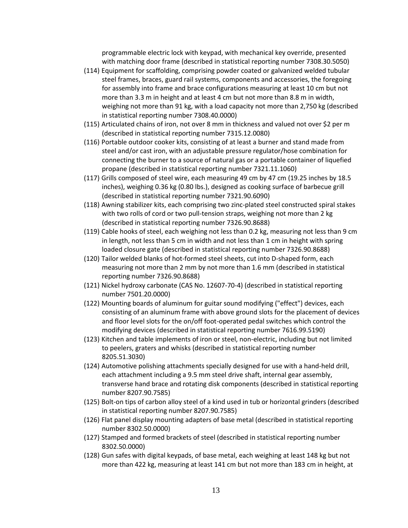programmable electric lock with keypad, with mechanical key override, presented with matching door frame (described in statistical reporting number 7308.30.5050)

- (114) Equipment for scaffolding, comprising powder coated or galvanized welded tubular steel frames, braces, guard rail systems, components and accessories, the foregoing for assembly into frame and brace configurations measuring at least 10 cm but not more than 3.3 m in height and at least 4 cm but not more than 8.8 m in width, weighing not more than 91 kg, with a load capacity not more than 2,750 kg (described in statistical reporting number 7308.40.0000)
- (115) Articulated chains of iron, not over 8 mm in thickness and valued not over \$2 per m (described in statistical reporting number 7315.12.0080)
- (116) Portable outdoor cooker kits, consisting of at least a burner and stand made from steel and/or cast iron, with an adjustable pressure regulator/hose combination for connecting the burner to a source of natural gas or a portable container of liquefied propane (described in statistical reporting number 7321.11.1060)
- (117) Grills composed of steel wire, each measuring 49 cm by 47 cm (19.25 inches by 18.5 inches), weighing 0.36 kg (0.80 lbs.), designed as cooking surface of barbecue grill (described in statistical reporting number 7321.90.6090)
- (118) Awning stabilizer kits, each comprising two zinc-plated steel constructed spiral stakes with two rolls of cord or two pull-tension straps, weighing not more than 2 kg (described in statistical reporting number 7326.90.8688)
- (119) Cable hooks of steel, each weighing not less than 0.2 kg, measuring not less than 9 cm in length, not less than 5 cm in width and not less than 1 cm in height with spring loaded closure gate (described in statistical reporting number 7326.90.8688)
- (120) Tailor welded blanks of hot-formed steel sheets, cut into D-shaped form, each measuring not more than 2 mm by not more than 1.6 mm (described in statistical reporting number 7326.90.8688)
- (121) Nickel hydroxy carbonate (CAS No. 12607-70-4) (described in statistical reporting number 7501.20.0000)
- (122) Mounting boards of aluminum for guitar sound modifying ("effect") devices, each consisting of an aluminum frame with above ground slots for the placement of devices and floor level slots for the on/off foot-operated pedal switches which control the modifying devices (described in statistical reporting number 7616.99.5190)
- (123) Kitchen and table implements of iron or steel, non-electric, including but not limited to peelers, graters and whisks (described in statistical reporting number 8205.51.3030)
- (124) Automotive polishing attachments specially designed for use with a hand-held drill, each attachment including a 9.5 mm steel drive shaft, internal gear assembly, transverse hand brace and rotating disk components (described in statistical reporting number 8207.90.7585)
- (125) Bolt-on tips of carbon alloy steel of a kind used in tub or horizontal grinders (described in statistical reporting number 8207.90.7585)
- (126) Flat panel display mounting adapters of base metal (described in statistical reporting number 8302.50.0000)
- (127) Stamped and formed brackets of steel (described in statistical reporting number 8302.50.0000)
- (128) Gun safes with digital keypads, of base metal, each weighing at least 148 kg but not more than 422 kg, measuring at least 141 cm but not more than 183 cm in height, at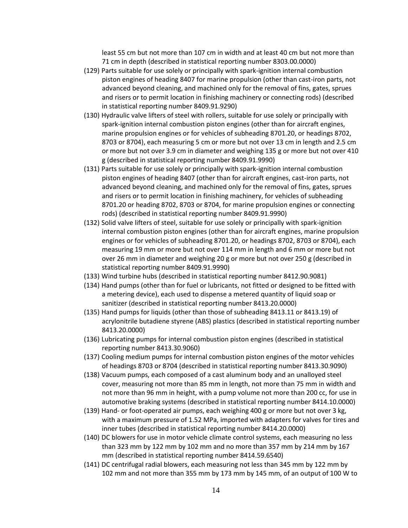least 55 cm but not more than 107 cm in width and at least 40 cm but not more than 71 cm in depth (described in statistical reporting number 8303.00.0000)

- (129) Parts suitable for use solely or principally with spark-ignition internal combustion piston engines of heading 8407 for marine propulsion (other than cast-iron parts, not advanced beyond cleaning, and machined only for the removal of fins, gates, sprues and risers or to permit location in finishing machinery or connecting rods) (described in statistical reporting number 8409.91.9290)
- (130) Hydraulic valve lifters of steel with rollers, suitable for use solely or principally with spark-ignition internal combustion piston engines (other than for aircraft engines, marine propulsion engines or for vehicles of subheading 8701.20, or headings 8702, 8703 or 8704), each measuring 5 cm or more but not over 13 cm in length and 2.5 cm or more but not over 3.9 cm in diameter and weighing 135 g or more but not over 410 g (described in statistical reporting number 8409.91.9990)
- (131) Parts suitable for use solely or principally with spark-ignition internal combustion piston engines of heading 8407 (other than for aircraft engines, cast-iron parts, not advanced beyond cleaning, and machined only for the removal of fins, gates, sprues and risers or to permit location in finishing machinery, for vehicles of subheading 8701.20 or heading 8702, 8703 or 8704, for marine propulsion engines or connecting rods) (described in statistical reporting number 8409.91.9990)
- (132) Solid valve lifters of steel, suitable for use solely or principally with spark-ignition internal combustion piston engines (other than for aircraft engines, marine propulsion engines or for vehicles of subheading 8701.20, or headings 8702, 8703 or 8704), each measuring 19 mm or more but not over 114 mm in length and 6 mm or more but not over 26 mm in diameter and weighing 20 g or more but not over 250 g (described in statistical reporting number 8409.91.9990)
- (133) Wind turbine hubs (described in statistical reporting number 8412.90.9081)
- (134) Hand pumps (other than for fuel or lubricants, not fitted or designed to be fitted with a metering device), each used to dispense a metered quantity of liquid soap or sanitizer (described in statistical reporting number 8413.20.0000)
- (135) Hand pumps for liquids (other than those of subheading 8413.11 or 8413.19) of acrylonitrile butadiene styrene (ABS) plastics (described in statistical reporting number 8413.20.0000)
- (136) Lubricating pumps for internal combustion piston engines (described in statistical reporting number 8413.30.9060)
- (137) Cooling medium pumps for internal combustion piston engines of the motor vehicles of headings 8703 or 8704 (described in statistical reporting number 8413.30.9090)
- (138) Vacuum pumps, each composed of a cast aluminum body and an unalloyed steel cover, measuring not more than 85 mm in length, not more than 75 mm in width and not more than 96 mm in height, with a pump volume not more than 200 cc, for use in automotive braking systems (described in statistical reporting number 8414.10.0000)
- (139) Hand- or foot-operated air pumps, each weighing 400 g or more but not over 3 kg, with a maximum pressure of 1.52 MPa, imported with adapters for valves for tires and inner tubes (described in statistical reporting number 8414.20.0000)
- (140) DC blowers for use in motor vehicle climate control systems, each measuring no less than 323 mm by 122 mm by 102 mm and no more than 357 mm by 214 mm by 167 mm (described in statistical reporting number 8414.59.6540)
- (141) DC centrifugal radial blowers, each measuring not less than 345 mm by 122 mm by 102 mm and not more than 355 mm by 173 mm by 145 mm, of an output of 100 W to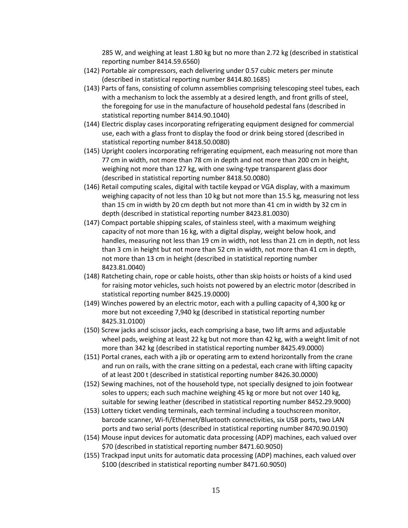285 W, and weighing at least 1.80 kg but no more than 2.72 kg (described in statistical reporting number 8414.59.6560)

- (142) Portable air compressors, each delivering under 0.57 cubic meters per minute (described in statistical reporting number 8414.80.1685)
- (143) Parts of fans, consisting of column assemblies comprising telescoping steel tubes, each with a mechanism to lock the assembly at a desired length, and front grills of steel, the foregoing for use in the manufacture of household pedestal fans (described in statistical reporting number 8414.90.1040)
- (144) Electric display cases incorporating refrigerating equipment designed for commercial use, each with a glass front to display the food or drink being stored (described in statistical reporting number 8418.50.0080)
- (145) Upright coolers incorporating refrigerating equipment, each measuring not more than 77 cm in width, not more than 78 cm in depth and not more than 200 cm in height, weighing not more than 127 kg, with one swing-type transparent glass door (described in statistical reporting number 8418.50.0080)
- (146) Retail computing scales, digital with tactile keypad or VGA display, with a maximum weighing capacity of not less than 10 kg but not more than 15.5 kg, measuring not less than 15 cm in width by 20 cm depth but not more than 41 cm in width by 32 cm in depth (described in statistical reporting number 8423.81.0030)
- (147) Compact portable shipping scales, of stainless steel, with a maximum weighing capacity of not more than 16 kg, with a digital display, weight below hook, and handles, measuring not less than 19 cm in width, not less than 21 cm in depth, not less than 3 cm in height but not more than 52 cm in width, not more than 41 cm in depth, not more than 13 cm in height (described in statistical reporting number 8423.81.0040)
- (148) Ratcheting chain, rope or cable hoists, other than skip hoists or hoists of a kind used for raising motor vehicles, such hoists not powered by an electric motor (described in statistical reporting number 8425.19.0000)
- (149) Winches powered by an electric motor, each with a pulling capacity of 4,300 kg or more but not exceeding 7,940 kg (described in statistical reporting number 8425.31.0100)
- (150) Screw jacks and scissor jacks, each comprising a base, two lift arms and adjustable wheel pads, weighing at least 22 kg but not more than 42 kg, with a weight limit of not more than 342 kg (described in statistical reporting number 8425.49.0000)
- (151) Portal cranes, each with a jib or operating arm to extend horizontally from the crane and run on rails, with the crane sitting on a pedestal, each crane with lifting capacity of at least 200 t (described in statistical reporting number 8426.30.0000)
- (152) Sewing machines, not of the household type, not specially designed to join footwear soles to uppers; each such machine weighing 45 kg or more but not over 140 kg, suitable for sewing leather (described in statistical reporting number 8452.29.9000)
- (153) Lottery ticket vending terminals, each terminal including a touchscreen monitor, barcode scanner, Wi-fi/Ethernet/Bluetooth connectivities, six USB ports, two LAN ports and two serial ports (described in statistical reporting number 8470.90.0190)
- (154) Mouse input devices for automatic data processing (ADP) machines, each valued over \$70 (described in statistical reporting number 8471.60.9050)
- (155) Trackpad input units for automatic data processing (ADP) machines, each valued over \$100 (described in statistical reporting number 8471.60.9050)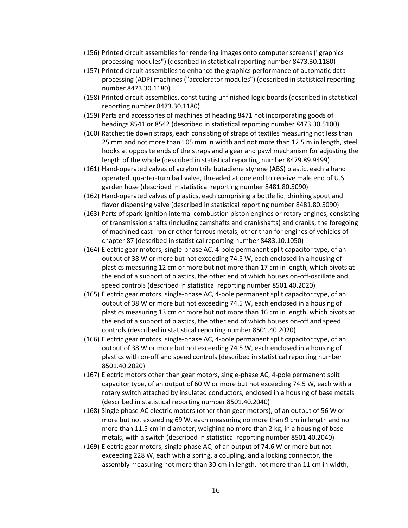- (156) Printed circuit assemblies for rendering images onto computer screens ("graphics processing modules") (described in statistical reporting number 8473.30.1180)
- (157) Printed circuit assemblies to enhance the graphics performance of automatic data processing (ADP) machines ("accelerator modules") (described in statistical reporting number 8473.30.1180)
- (158) Printed circuit assemblies, constituting unfinished logic boards (described in statistical reporting number 8473.30.1180)
- (159) Parts and accessories of machines of heading 8471 not incorporating goods of headings 8541 or 8542 (described in statistical reporting number 8473.30.5100)
- (160) Ratchet tie down straps, each consisting of straps of textiles measuring not less than 25 mm and not more than 105 mm in width and not more than 12.5 m in length, steel hooks at opposite ends of the straps and a gear and pawl mechanism for adjusting the length of the whole (described in statistical reporting number 8479.89.9499)
- (161) Hand-operated valves of acrylonitrile butadiene styrene (ABS) plastic, each a hand operated, quarter-turn ball valve, threaded at one end to receive male end of U.S. garden hose (described in statistical reporting number 8481.80.5090)
- (162) Hand-operated valves of plastics, each comprising a bottle lid, drinking spout and flavor dispensing valve (described in statistical reporting number 8481.80.5090)
- (163) Parts of spark-ignition internal combustion piston engines or rotary engines, consisting of transmission shafts (including camshafts and crankshafts) and cranks, the foregoing of machined cast iron or other ferrous metals, other than for engines of vehicles of chapter 87 (described in statistical reporting number 8483.10.1050)
- (164) Electric gear motors, single-phase AC, 4-pole permanent split capacitor type, of an output of 38 W or more but not exceeding 74.5 W, each enclosed in a housing of plastics measuring 12 cm or more but not more than 17 cm in length, which pivots at the end of a support of plastics, the other end of which houses on-off-oscillate and speed controls (described in statistical reporting number 8501.40.2020)
- (165) Electric gear motors, single-phase AC, 4-pole permanent split capacitor type, of an output of 38 W or more but not exceeding 74.5 W, each enclosed in a housing of plastics measuring 13 cm or more but not more than 16 cm in length, which pivots at the end of a support of plastics, the other end of which houses on-off and speed controls (described in statistical reporting number 8501.40.2020)
- (166) Electric gear motors, single-phase AC, 4-pole permanent split capacitor type, of an output of 38 W or more but not exceeding 74.5 W, each enclosed in a housing of plastics with on-off and speed controls (described in statistical reporting number 8501.40.2020)
- (167) Electric motors other than gear motors, single-phase AC, 4-pole permanent split capacitor type, of an output of 60 W or more but not exceeding 74.5 W, each with a rotary switch attached by insulated conductors, enclosed in a housing of base metals (described in statistical reporting number 8501.40.2040)
- (168) Single phase AC electric motors (other than gear motors), of an output of 56 W or more but not exceeding 69 W, each measuring no more than 9 cm in length and no more than 11.5 cm in diameter, weighing no more than 2 kg, in a housing of base metals, with a switch (described in statistical reporting number 8501.40.2040)
- (169) Electric gear motors, single phase AC, of an output of 74.6 W or more but not exceeding 228 W, each with a spring, a coupling, and a locking connector, the assembly measuring not more than 30 cm in length, not more than 11 cm in width,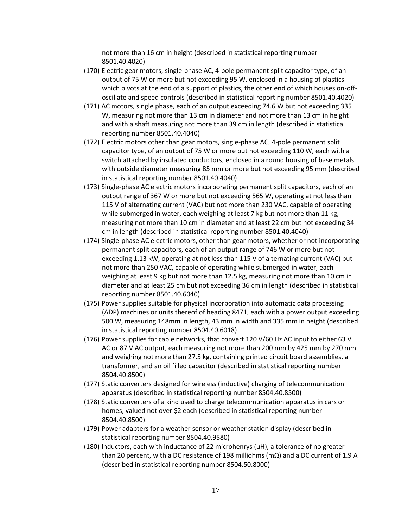not more than 16 cm in height (described in statistical reporting number 8501.40.4020)

- (170) Electric gear motors, single-phase AC, 4-pole permanent split capacitor type, of an output of 75 W or more but not exceeding 95 W, enclosed in a housing of plastics which pivots at the end of a support of plastics, the other end of which houses on-offoscillate and speed controls (described in statistical reporting number 8501.40.4020)
- (171) AC motors, single phase, each of an output exceeding 74.6 W but not exceeding 335 W, measuring not more than 13 cm in diameter and not more than 13 cm in height and with a shaft measuring not more than 39 cm in length (described in statistical reporting number 8501.40.4040)
- (172) Electric motors other than gear motors, single-phase AC, 4-pole permanent split capacitor type, of an output of 75 W or more but not exceeding 110 W, each with a switch attached by insulated conductors, enclosed in a round housing of base metals with outside diameter measuring 85 mm or more but not exceeding 95 mm (described in statistical reporting number 8501.40.4040)
- (173) Single-phase AC electric motors incorporating permanent split capacitors, each of an output range of 367 W or more but not exceeding 565 W, operating at not less than 115 V of alternating current (VAC) but not more than 230 VAC, capable of operating while submerged in water, each weighing at least 7 kg but not more than 11 kg, measuring not more than 10 cm in diameter and at least 22 cm but not exceeding 34 cm in length (described in statistical reporting number 8501.40.4040)
- (174) Single-phase AC electric motors, other than gear motors, whether or not incorporating permanent split capacitors, each of an output range of 746 W or more but not exceeding 1.13 kW, operating at not less than 115 V of alternating current (VAC) but not more than 250 VAC, capable of operating while submerged in water, each weighing at least 9 kg but not more than 12.5 kg, measuring not more than 10 cm in diameter and at least 25 cm but not exceeding 36 cm in length (described in statistical reporting number 8501.40.6040)
- (175) Power supplies suitable for physical incorporation into automatic data processing (ADP) machines or units thereof of heading 8471, each with a power output exceeding 500 W, measuring 148mm in length, 43 mm in width and 335 mm in height (described in statistical reporting number 8504.40.6018)
- (176) Power supplies for cable networks, that convert 120 V/60 Hz AC input to either 63 V AC or 87 V AC output, each measuring not more than 200 mm by 425 mm by 270 mm and weighing not more than 27.5 kg, containing printed circuit board assemblies, a transformer, and an oil filled capacitor (described in statistical reporting number 8504.40.8500)
- (177) Static converters designed for wireless (inductive) charging of telecommunication apparatus (described in statistical reporting number 8504.40.8500)
- (178) Static converters of a kind used to charge telecommunication apparatus in cars or homes, valued not over \$2 each (described in statistical reporting number 8504.40.8500)
- (179) Power adapters for a weather sensor or weather station display (described in statistical reporting number 8504.40.9580)
- (180) Inductors, each with inductance of 22 microhenrys ( $\mu$ H), a tolerance of no greater than 20 percent, with a DC resistance of 198 milliohms (mΩ) and a DC current of 1.9 A (described in statistical reporting number 8504.50.8000)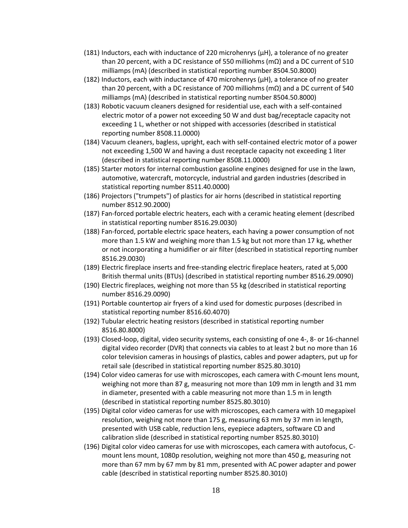- $(181)$  Inductors, each with inductance of 220 microhenrys  $(\mu H)$ , a tolerance of no greater than 20 percent, with a DC resistance of 550 milliohms (m $\Omega$ ) and a DC current of 510 milliamps (mA) (described in statistical reporting number 8504.50.8000)
- $(182)$  Inductors, each with inductance of 470 microhenrys  $(\mu H)$ , a tolerance of no greater than 20 percent, with a DC resistance of 700 milliohms (mΩ) and a DC current of 540 milliamps (mA) (described in statistical reporting number 8504.50.8000)
- (183) Robotic vacuum cleaners designed for residential use, each with a self-contained electric motor of a power not exceeding 50 W and dust bag/receptacle capacity not exceeding 1 L, whether or not shipped with accessories (described in statistical reporting number 8508.11.0000)
- (184) Vacuum cleaners, bagless, upright, each with self-contained electric motor of a power not exceeding 1,500 W and having a dust receptacle capacity not exceeding 1 liter (described in statistical reporting number 8508.11.0000)
- (185) Starter motors for internal combustion gasoline engines designed for use in the lawn, automotive, watercraft, motorcycle, industrial and garden industries (described in statistical reporting number 8511.40.0000)
- (186) Projectors ("trumpets") of plastics for air horns (described in statistical reporting number 8512.90.2000)
- (187) Fan-forced portable electric heaters, each with a ceramic heating element (described in statistical reporting number 8516.29.0030)
- (188) Fan-forced, portable electric space heaters, each having a power consumption of not more than 1.5 kW and weighing more than 1.5 kg but not more than 17 kg, whether or not incorporating a humidifier or air filter (described in statistical reporting number 8516.29.0030)
- (189) Electric fireplace inserts and free-standing electric fireplace heaters, rated at 5,000 British thermal units (BTUs) (described in statistical reporting number 8516.29.0090)
- (190) Electric fireplaces, weighing not more than 55 kg (described in statistical reporting number 8516.29.0090)
- (191) Portable countertop air fryers of a kind used for domestic purposes (described in statistical reporting number 8516.60.4070)
- (192) Tubular electric heating resistors (described in statistical reporting number 8516.80.8000)
- (193) Closed-loop, digital, video security systems, each consisting of one 4-, 8- or 16-channel digital video recorder (DVR) that connects via cables to at least 2 but no more than 16 color television cameras in housings of plastics, cables and power adapters, put up for retail sale (described in statistical reporting number 8525.80.3010)
- (194) Color video cameras for use with microscopes, each camera with C-mount lens mount, weighing not more than 87 g, measuring not more than 109 mm in length and 31 mm in diameter, presented with a cable measuring not more than 1.5 m in length (described in statistical reporting number 8525.80.3010)
- (195) Digital color video cameras for use with microscopes, each camera with 10 megapixel resolution, weighing not more than 175 g, measuring 63 mm by 37 mm in length, presented with USB cable, reduction lens, eyepiece adapters, software CD and calibration slide (described in statistical reporting number 8525.80.3010)
- (196) Digital color video cameras for use with microscopes, each camera with autofocus, Cmount lens mount, 1080p resolution, weighing not more than 450 g, measuring not more than 67 mm by 67 mm by 81 mm, presented with AC power adapter and power cable (described in statistical reporting number 8525.80.3010)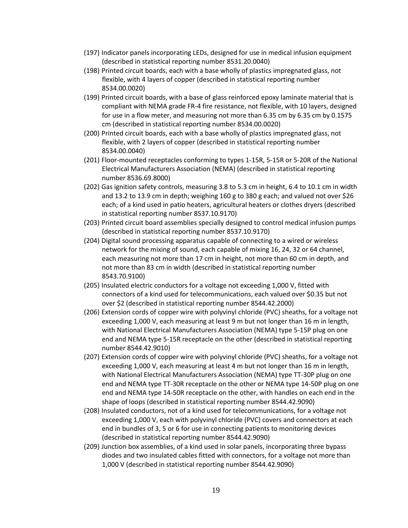- (197) Indicator panels incorporating LEDs, designed for use in medical infusion equipment (described in statistical reporting number 8531.20.0040)
- (198) Printed circuit boards, each with a base wholly of plastics impregnated glass, not flexible, with 4 layers of copper (described in statistical reporting number 8534.00.0020)
- (199) Printed circuit boards, with a base of glass reinforced epoxy laminate material that is compliant with NEMA grade FR-4 fire resistance, not flexible, with 10 layers, designed for use in a flow meter, and measuring not more than 6.35 cm by 6.35 cm by 0.1575 cm (described in statistical reporting number 8534.00.0020)
- (200) Printed circuit boards, each with a base wholly of plastics impregnated glass, not flexible, with 2 layers of copper (described in statistical reporting number 8534.00.0040)
- (201) Floor-mounted receptacles conforming to types 1-15R, 5-15R or 5-20R of the National Electrical Manufacturers Association (NEMA) (described in statistical reporting number 8536.69.8000)
- (202) Gas ignition safety controls, measuring 3.8 to 5.3 cm in height, 6.4 to 10.1 cm in width and 13.2 to 13.9 cm in depth; weighing 160 g to 380 g each; and valued not over \$26 each; of a kind used in patio heaters, agricultural heaters or clothes dryers (described in statistical reporting number 8537.10.9170)
- (203) Printed circuit board assemblies specially designed to control medical infusion pumps (described in statistical reporting number 8537.10.9170)
- (204) Digital sound processing apparatus capable of connecting to a wired or wireless network for the mixing of sound, each capable of mixing 16, 24, 32 or 64 channel, each measuring not more than 17 cm in height, not more than 60 cm in depth, and not more than 83 cm in width (described in statistical reporting number 8543.70.9100)
- (205) Insulated electric conductors for a voltage not exceeding 1,000 V, fitted with connectors of a kind used for telecommunications, each valued over \$0.35 but not over \$2 (described in statistical reporting number 8544.42.2000)
- (206) Extension cords of copper wire with polyvinyl chloride (PVC) sheaths, for a voltage not exceeding 1,000 V, each measuring at least 9 m but not longer than 16 m in length, with National Electrical Manufacturers Association (NEMA) type 5-15P plug on one end and NEMA type 5-15R receptacle on the other (described in statistical reporting number 8544.42.9010)
- (207) Extension cords of copper wire with polyvinyl chloride (PVC) sheaths, for a voltage not exceeding 1,000 V, each measuring at least 4 m but not longer than 16 m in length, with National Electrical Manufacturers Association (NEMA) type TT-30P plug on one end and NEMA type TT-30R receptacle on the other or NEMA type 14-50P plug on one end and NEMA type 14-50R receptacle on the other, with handles on each end in the shape of loops (described in statistical reporting number 8544.42.9090)
- (208) Insulated conductors, not of a kind used for telecommunications, for a voltage not exceeding 1,000 V, each with polyvinyl chloride (PVC) covers and connectors at each end in bundles of 3, 5 or 6 for use in connecting patients to monitoring devices (described in statistical reporting number 8544.42.9090)
- (209) Junction box assemblies, of a kind used in solar panels, incorporating three bypass diodes and two insulated cables fitted with connectors, for a voltage not more than 1,000 V (described in statistical reporting number 8544.42.9090)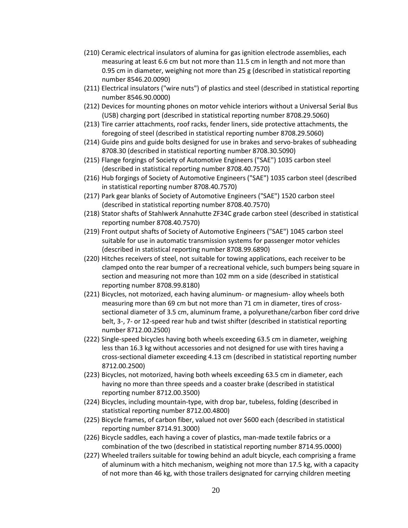- (210) Ceramic electrical insulators of alumina for gas ignition electrode assemblies, each measuring at least 6.6 cm but not more than 11.5 cm in length and not more than 0.95 cm in diameter, weighing not more than 25 g (described in statistical reporting number 8546.20.0090)
- (211) Electrical insulators ("wire nuts") of plastics and steel (described in statistical reporting number 8546.90.0000)
- (212) Devices for mounting phones on motor vehicle interiors without a Universal Serial Bus (USB) charging port (described in statistical reporting number 8708.29.5060)
- (213) Tire carrier attachments, roof racks, fender liners, side protective attachments, the foregoing of steel (described in statistical reporting number 8708.29.5060)
- (214) Guide pins and guide bolts designed for use in brakes and servo-brakes of subheading 8708.30 (described in statistical reporting number 8708.30.5090)
- (215) Flange forgings of Society of Automotive Engineers ("SAE") 1035 carbon steel (described in statistical reporting number 8708.40.7570)
- (216) Hub forgings of Society of Automotive Engineers ("SAE") 1035 carbon steel (described in statistical reporting number 8708.40.7570)
- (217) Park gear blanks of Society of Automotive Engineers ("SAE") 1520 carbon steel (described in statistical reporting number 8708.40.7570)
- (218) Stator shafts of Stahlwerk Annahutte ZF34C grade carbon steel (described in statistical reporting number 8708.40.7570)
- (219) Front output shafts of Society of Automotive Engineers ("SAE") 1045 carbon steel suitable for use in automatic transmission systems for passenger motor vehicles (described in statistical reporting number 8708.99.6890)
- (220) Hitches receivers of steel, not suitable for towing applications, each receiver to be clamped onto the rear bumper of a recreational vehicle, such bumpers being square in section and measuring not more than 102 mm on a side (described in statistical reporting number 8708.99.8180)
- (221) Bicycles, not motorized, each having aluminum- or magnesium- alloy wheels both measuring more than 69 cm but not more than 71 cm in diameter, tires of crosssectional diameter of 3.5 cm, aluminum frame, a polyurethane/carbon fiber cord drive belt, 3-, 7- or 12-speed rear hub and twist shifter (described in statistical reporting number 8712.00.2500)
- (222) Single-speed bicycles having both wheels exceeding 63.5 cm in diameter, weighing less than 16.3 kg without accessories and not designed for use with tires having a cross-sectional diameter exceeding 4.13 cm (described in statistical reporting number 8712.00.2500)
- (223) Bicycles, not motorized, having both wheels exceeding 63.5 cm in diameter, each having no more than three speeds and a coaster brake (described in statistical reporting number 8712.00.3500)
- (224) Bicycles, including mountain-type, with drop bar, tubeless, folding (described in statistical reporting number 8712.00.4800)
- (225) Bicycle frames, of carbon fiber, valued not over \$600 each (described in statistical reporting number 8714.91.3000)
- (226) Bicycle saddles, each having a cover of plastics, man-made textile fabrics or a combination of the two (described in statistical reporting number 8714.95.0000)
- (227) Wheeled trailers suitable for towing behind an adult bicycle, each comprising a frame of aluminum with a hitch mechanism, weighing not more than 17.5 kg, with a capacity of not more than 46 kg, with those trailers designated for carrying children meeting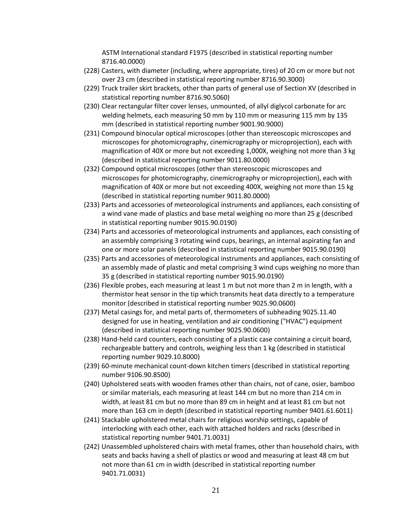ASTM International standard F1975 (described in statistical reporting number 8716.40.0000)

- (228) Casters, with diameter (including, where appropriate, tires) of 20 cm or more but not over 23 cm (described in statistical reporting number 8716.90.3000)
- (229) Truck trailer skirt brackets, other than parts of general use of Section XV (described in statistical reporting number 8716.90.5060)
- (230) Clear rectangular filter cover lenses, unmounted, of allyl diglycol carbonate for arc welding helmets, each measuring 50 mm by 110 mm or measuring 115 mm by 135 mm (described in statistical reporting number 9001.90.9000)
- (231) Compound binocular optical microscopes (other than stereoscopic microscopes and microscopes for photomicrography, cinemicrography or microprojection), each with magnification of 40X or more but not exceeding 1,000X, weighing not more than 3 kg (described in statistical reporting number 9011.80.0000)
- (232) Compound optical microscopes (other than stereoscopic microscopes and microscopes for photomicrography, cinemicrography or microprojection), each with magnification of 40X or more but not exceeding 400X, weighing not more than 15 kg (described in statistical reporting number 9011.80.0000)
- (233) Parts and accessories of meteorological instruments and appliances, each consisting of a wind vane made of plastics and base metal weighing no more than 25 g (described in statistical reporting number 9015.90.0190)
- (234) Parts and accessories of meteorological instruments and appliances, each consisting of an assembly comprising 3 rotating wind cups, bearings, an internal aspirating fan and one or more solar panels (described in statistical reporting number 9015.90.0190)
- (235) Parts and accessories of meteorological instruments and appliances, each consisting of an assembly made of plastic and metal comprising 3 wind cups weighing no more than 35 g (described in statistical reporting number 9015.90.0190)
- (236) Flexible probes, each measuring at least 1 m but not more than 2 m in length, with a thermistor heat sensor in the tip which transmits heat data directly to a temperature monitor (described in statistical reporting number 9025.90.0600)
- (237) Metal casings for, and metal parts of, thermometers of subheading 9025.11.40 designed for use in heating, ventilation and air conditioning ("HVAC") equipment (described in statistical reporting number 9025.90.0600)
- (238) Hand-held card counters, each consisting of a plastic case containing a circuit board, rechargeable battery and controls, weighing less than 1 kg (described in statistical reporting number 9029.10.8000)
- (239) 60-minute mechanical count-down kitchen timers (described in statistical reporting number 9106.90.8500)
- (240) Upholstered seats with wooden frames other than chairs, not of cane, osier, bamboo or similar materials, each measuring at least 144 cm but no more than 214 cm in width, at least 81 cm but no more than 89 cm in height and at least 81 cm but not more than 163 cm in depth (described in statistical reporting number 9401.61.6011)
- (241) Stackable upholstered metal chairs for religious worship settings, capable of interlocking with each other, each with attached holders and racks (described in statistical reporting number 9401.71.0031)
- (242) Unassembled upholstered chairs with metal frames, other than household chairs, with seats and backs having a shell of plastics or wood and measuring at least 48 cm but not more than 61 cm in width (described in statistical reporting number 9401.71.0031)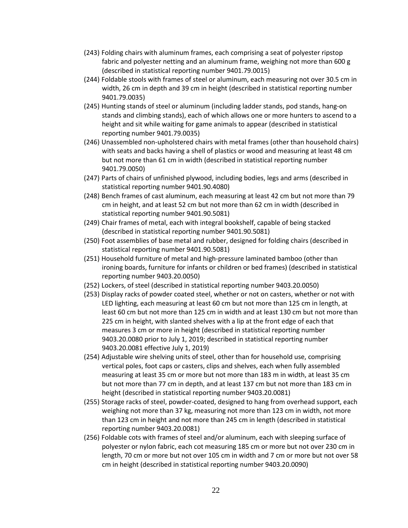- (243) Folding chairs with aluminum frames, each comprising a seat of polyester ripstop fabric and polyester netting and an aluminum frame, weighing not more than 600 g (described in statistical reporting number 9401.79.0015)
- (244) Foldable stools with frames of steel or aluminum, each measuring not over 30.5 cm in width, 26 cm in depth and 39 cm in height (described in statistical reporting number 9401.79.0035)
- (245) Hunting stands of steel or aluminum (including ladder stands, pod stands, hang-on stands and climbing stands), each of which allows one or more hunters to ascend to a height and sit while waiting for game animals to appear (described in statistical reporting number 9401.79.0035)
- (246) Unassembled non-upholstered chairs with metal frames (other than household chairs) with seats and backs having a shell of plastics or wood and measuring at least 48 cm but not more than 61 cm in width (described in statistical reporting number 9401.79.0050)
- (247) Parts of chairs of unfinished plywood, including bodies, legs and arms (described in statistical reporting number 9401.90.4080)
- (248) Bench frames of cast aluminum, each measuring at least 42 cm but not more than 79 cm in height, and at least 52 cm but not more than 62 cm in width (described in statistical reporting number 9401.90.5081)
- (249) Chair frames of metal, each with integral bookshelf, capable of being stacked (described in statistical reporting number 9401.90.5081)
- (250) Foot assemblies of base metal and rubber, designed for folding chairs (described in statistical reporting number 9401.90.5081)
- (251) Household furniture of metal and high-pressure laminated bamboo (other than ironing boards, furniture for infants or children or bed frames) (described in statistical reporting number 9403.20.0050)
- (252) Lockers, of steel (described in statistical reporting number 9403.20.0050)
- (253) Display racks of powder coated steel, whether or not on casters, whether or not with LED lighting, each measuring at least 60 cm but not more than 125 cm in length, at least 60 cm but not more than 125 cm in width and at least 130 cm but not more than 225 cm in height, with slanted shelves with a lip at the front edge of each that measures 3 cm or more in height (described in statistical reporting number 9403.20.0080 prior to July 1, 2019; described in statistical reporting number 9403.20.0081 effective July 1, 2019)
- (254) Adjustable wire shelving units of steel, other than for household use, comprising vertical poles, foot caps or casters, clips and shelves, each when fully assembled measuring at least 35 cm or more but not more than 183 m in width, at least 35 cm but not more than 77 cm in depth, and at least 137 cm but not more than 183 cm in height (described in statistical reporting number 9403.20.0081)
- (255) Storage racks of steel, powder-coated, designed to hang from overhead support, each weighing not more than 37 kg, measuring not more than 123 cm in width, not more than 123 cm in height and not more than 245 cm in length (described in statistical reporting number 9403.20.0081)
- (256) Foldable cots with frames of steel and/or aluminum, each with sleeping surface of polyester or nylon fabric, each cot measuring 185 cm or more but not over 230 cm in length, 70 cm or more but not over 105 cm in width and 7 cm or more but not over 58 cm in height (described in statistical reporting number 9403.20.0090)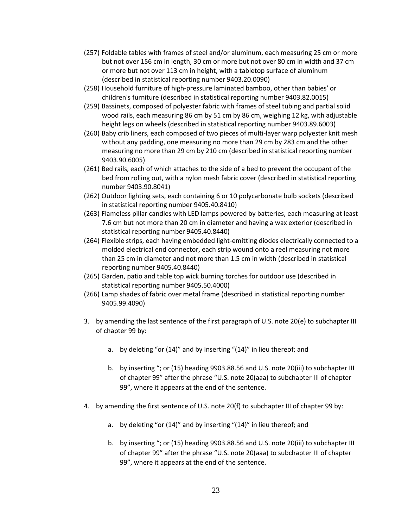- (257) Foldable tables with frames of steel and/or aluminum, each measuring 25 cm or more but not over 156 cm in length, 30 cm or more but not over 80 cm in width and 37 cm or more but not over 113 cm in height, with a tabletop surface of aluminum (described in statistical reporting number 9403.20.0090)
- (258) Household furniture of high-pressure laminated bamboo, other than babies' or children's furniture (described in statistical reporting number 9403.82.0015)
- (259) Bassinets, composed of polyester fabric with frames of steel tubing and partial solid wood rails, each measuring 86 cm by 51 cm by 86 cm, weighing 12 kg, with adjustable height legs on wheels (described in statistical reporting number 9403.89.6003)
- (260) Baby crib liners, each composed of two pieces of multi-layer warp polyester knit mesh without any padding, one measuring no more than 29 cm by 283 cm and the other measuring no more than 29 cm by 210 cm (described in statistical reporting number 9403.90.6005)
- (261) Bed rails, each of which attaches to the side of a bed to prevent the occupant of the bed from rolling out, with a nylon mesh fabric cover (described in statistical reporting number 9403.90.8041)
- (262) Outdoor lighting sets, each containing 6 or 10 polycarbonate bulb sockets (described in statistical reporting number 9405.40.8410)
- (263) Flameless pillar candles with LED lamps powered by batteries, each measuring at least 7.6 cm but not more than 20 cm in diameter and having a wax exterior (described in statistical reporting number 9405.40.8440)
- (264) Flexible strips, each having embedded light-emitting diodes electrically connected to a molded electrical end connector, each strip wound onto a reel measuring not more than 25 cm in diameter and not more than 1.5 cm in width (described in statistical reporting number 9405.40.8440)
- (265) Garden, patio and table top wick burning torches for outdoor use (described in statistical reporting number 9405.50.4000)
- (266) Lamp shades of fabric over metal frame (described in statistical reporting number 9405.99.4090)
- 3. by amending the last sentence of the first paragraph of U.S. note 20(e) to subchapter III of chapter 99 by:
	- a. by deleting "or (14)" and by inserting "(14)" in lieu thereof; and
	- b. by inserting "; or (15) heading 9903.88.56 and U.S. note 20(iii) to subchapter III of chapter 99" after the phrase "U.S. note 20(aaa) to subchapter III of chapter 99", where it appears at the end of the sentence.
- 4. by amending the first sentence of U.S. note 20(f) to subchapter III of chapter 99 by:
	- a. by deleting "or (14)" and by inserting "(14)" in lieu thereof; and
	- b. by inserting "; or (15) heading 9903.88.56 and U.S. note 20(iii) to subchapter III of chapter 99" after the phrase "U.S. note 20(aaa) to subchapter III of chapter 99", where it appears at the end of the sentence.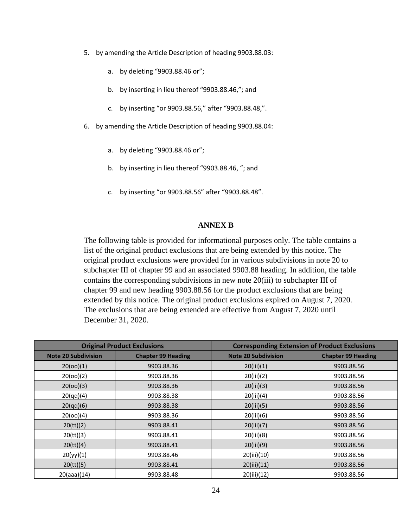- 5. by amending the Article Description of heading 9903.88.03:
	- a. by deleting "9903.88.46 or";
	- b. by inserting in lieu thereof "9903.88.46,"; and
	- c. by inserting "or 9903.88.56," after "9903.88.48,".
- 6. by amending the Article Description of heading 9903.88.04:
	- a. by deleting "9903.88.46 or";
	- b. by inserting in lieu thereof "9903.88.46, "; and
	- c. by inserting "or 9903.88.56" after "9903.88.48".

#### **ANNEX B**

The following table is provided for informational purposes only. The table contains a list of the original product exclusions that are being extended by this notice. The original product exclusions were provided for in various subdivisions in note 20 to subchapter III of chapter 99 and an associated 9903.88 heading. In addition, the table contains the corresponding subdivisions in new note 20(iii) to subchapter III of chapter 99 and new heading 9903.88.56 for the product exclusions that are being extended by this notice. The original product exclusions expired on August 7, 2020. The exclusions that are being extended are effective from August 7, 2020 until December 31, 2020.

| <b>Original Product Exclusions</b> |                           | <b>Corresponding Extension of Product Exclusions</b> |                           |
|------------------------------------|---------------------------|------------------------------------------------------|---------------------------|
| <b>Note 20 Subdivision</b>         | <b>Chapter 99 Heading</b> | <b>Note 20 Subdivision</b>                           | <b>Chapter 99 Heading</b> |
| 20(00)(1)                          | 9903.88.36                | 20(iii)(1)                                           | 9903.88.56                |
| 20(00)(2)                          | 9903.88.36                | 20(iii)(2)                                           | 9903.88.56                |
| 20(00)(3)                          | 9903.88.36                | 20(iii)(3)                                           | 9903.88.56                |
| 20(qq)(4)                          | 9903.88.38                | 20(iii)(4)                                           | 9903.88.56                |
| 20(qq)(6)                          | 9903.88.38                | 20(iii)(5)                                           | 9903.88.56                |
| 20(00)(4)                          | 9903.88.36                | 20(iii)(6)                                           | 9903.88.56                |
| 20 (tt)(2)                         | 9903.88.41                | 20(iii)(7)                                           | 9903.88.56                |
| 20 (tt)(3)                         | 9903.88.41                | 20(iii)(8)                                           | 9903.88.56                |
| 20 (tt)(4)                         | 9903.88.41                | 20(iii)(9)                                           | 9903.88.56                |
| 20(yy)(1)                          | 9903.88.46                | 20(iii)(10)                                          | 9903.88.56                |
| 20 (tt)(5)                         | 9903.88.41                | 20(iii)(11)                                          | 9903.88.56                |
| 20(aaa)(14)                        | 9903.88.48                | 20(iii)(12)                                          | 9903.88.56                |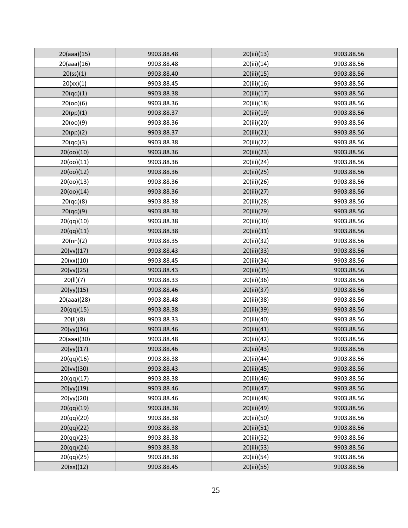| 20(aaa)(15) | 9903.88.48 | 20(iii)(13) | 9903.88.56 |
|-------------|------------|-------------|------------|
| 20(aaa)(16) | 9903.88.48 | 20(iii)(14) | 9903.88.56 |
| 20(ss)(1)   | 9903.88.40 | 20(iii)(15) | 9903.88.56 |
| 20(xx)(1)   | 9903.88.45 | 20(iii)(16) | 9903.88.56 |
| 20(qq)(1)   | 9903.88.38 | 20(iii)(17) | 9903.88.56 |
| 20(00)(6)   | 9903.88.36 | 20(iii)(18) | 9903.88.56 |
| 20(pp)(1)   | 9903.88.37 | 20(iii)(19) | 9903.88.56 |
| 20(00)(9)   | 9903.88.36 | 20(iii)(20) | 9903.88.56 |
| 20(pp)(2)   | 9903.88.37 | 20(iii)(21) | 9903.88.56 |
| 20(qq)(3)   | 9903.88.38 | 20(iii)(22) | 9903.88.56 |
| 20(00)(10)  | 9903.88.36 | 20(iii)(23) | 9903.88.56 |
| 20(00)(11)  | 9903.88.36 | 20(iii)(24) | 9903.88.56 |
| 20(00)(12)  | 9903.88.36 | 20(iii)(25) | 9903.88.56 |
| 20(00)(13)  | 9903.88.36 | 20(iii)(26) | 9903.88.56 |
| 20(00)(14)  | 9903.88.36 | 20(iii)(27) | 9903.88.56 |
| 20(qq)(8)   | 9903.88.38 | 20(iii)(28) | 9903.88.56 |
| 20(qq)(9)   | 9903.88.38 | 20(iii)(29) | 9903.88.56 |
| 20(qq)(10)  | 9903.88.38 | 20(iii)(30) | 9903.88.56 |
| 20(qq)(11)  | 9903.88.38 | 20(iii)(31) | 9903.88.56 |
| 20(nn)(2)   | 9903.88.35 | 20(iii)(32) | 9903.88.56 |
| 20(vv)(17)  | 9903.88.43 | 20(iii)(33) | 9903.88.56 |
| 20(xx)(10)  | 9903.88.45 | 20(iii)(34) | 9903.88.56 |
| 20(vv)(25)  | 9903.88.43 | 20(iii)(35) | 9903.88.56 |
| 20(11)(7)   | 9903.88.33 | 20(iii)(36) | 9903.88.56 |
| 20(yy)(15)  | 9903.88.46 | 20(iii)(37) | 9903.88.56 |
| 20(aaa)(28) | 9903.88.48 | 20(iii)(38) | 9903.88.56 |
| 20(qq)(15)  | 9903.88.38 | 20(iii)(39) | 9903.88.56 |
| 20(11)(8)   | 9903.88.33 | 20(iii)(40) | 9903.88.56 |
| 20(yy)(16)  | 9903.88.46 | 20(iii)(41) | 9903.88.56 |
| 20(aaa)(30) | 9903.88.48 | 20(iii)(42) | 9903.88.56 |
| 20(yy)(17)  | 9903.88.46 | 20(iii)(43) | 9903.88.56 |
| 20(qq)(16)  | 9903.88.38 | 20(iii)(44) | 9903.88.56 |
| 20(vv)(30)  | 9903.88.43 | 20(iii)(45) | 9903.88.56 |
| 20(qq)(17)  | 9903.88.38 | 20(iii)(46) | 9903.88.56 |
| 20(yy)(19)  | 9903.88.46 | 20(iii)(47) | 9903.88.56 |
| 20(yy)(20)  | 9903.88.46 | 20(iii)(48) | 9903.88.56 |
| 20(qq)(19)  | 9903.88.38 | 20(iii)(49) | 9903.88.56 |
| 20(qq)(20)  | 9903.88.38 | 20(iii)(50) | 9903.88.56 |
| 20(qq)(22)  | 9903.88.38 | 20(iii)(51) | 9903.88.56 |
| 20(qq)(23)  | 9903.88.38 | 20(iii)(52) | 9903.88.56 |
| 20(qq)(24)  | 9903.88.38 | 20(iii)(53) | 9903.88.56 |
| 20(qq)(25)  | 9903.88.38 | 20(iii)(54) | 9903.88.56 |
| 20(xx)(12)  | 9903.88.45 | 20(iii)(55) | 9903.88.56 |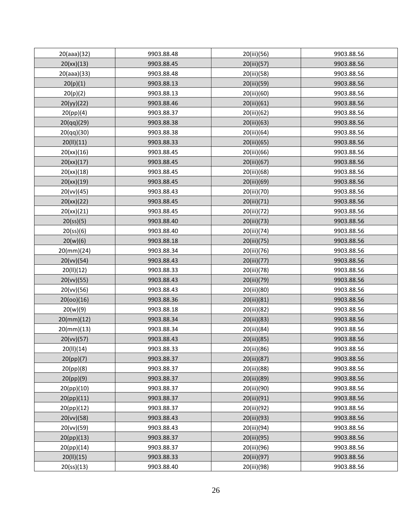| 20(aaa)(32)             | 9903.88.48 | 20(iii)(56) | 9903.88.56 |
|-------------------------|------------|-------------|------------|
| 20(xx)(13)              | 9903.88.45 | 20(iii)(57) | 9903.88.56 |
| 20(aaa)(33)             | 9903.88.48 | 20(iii)(58) | 9903.88.56 |
| 20(p)(1)                | 9903.88.13 | 20(iii)(59) | 9903.88.56 |
| 20(p)(2)                | 9903.88.13 | 20(iii)(60) | 9903.88.56 |
| 20(yy)(22)              | 9903.88.46 | 20(iii)(61) | 9903.88.56 |
| 20(pp)(4)               | 9903.88.37 | 20(iii)(62) | 9903.88.56 |
| 20(qq)(29)              | 9903.88.38 | 20(iii)(63) | 9903.88.56 |
| 20(qq)(30)              | 9903.88.38 | 20(iii)(64) | 9903.88.56 |
| 20(11)(11)              | 9903.88.33 | 20(iii)(65) | 9903.88.56 |
| 20(xx)(16)              | 9903.88.45 | 20(iii)(66) | 9903.88.56 |
| 20(xx)(17)              | 9903.88.45 | 20(iii)(67) | 9903.88.56 |
| 20(xx)(18)              | 9903.88.45 | 20(iii)(68) | 9903.88.56 |
| 20(xx)(19)              | 9903.88.45 | 20(iii)(69) | 9903.88.56 |
| 20(vv)(45)              | 9903.88.43 | 20(iii)(70) | 9903.88.56 |
| 20(xx)(22)              | 9903.88.45 | 20(iii)(71) | 9903.88.56 |
| 20(xx)(21)              | 9903.88.45 | 20(iii)(72) | 9903.88.56 |
| 20(s <sub>S</sub> )(5)  | 9903.88.40 | 20(iii)(73) | 9903.88.56 |
| 20(ss)(6)               | 9903.88.40 | 20(iii)(74) | 9903.88.56 |
| 20(w)(6)                | 9903.88.18 | 20(iii)(75) | 9903.88.56 |
| $20$ (mm)(24)           | 9903.88.34 | 20(iii)(76) | 9903.88.56 |
| 20(vv)(54)              | 9903.88.43 | 20(iii)(77) | 9903.88.56 |
| 20(11)(12)              | 9903.88.33 | 20(iii)(78) | 9903.88.56 |
| 20(vv)(55)              | 9903.88.43 | 20(iii)(79) | 9903.88.56 |
| 20(vv)(56)              | 9903.88.43 | 20(iii)(80) | 9903.88.56 |
| 20(00)(16)              | 9903.88.36 | 20(iii)(81) | 9903.88.56 |
| 20(w)(9)                | 9903.88.18 | 20(iii)(82) | 9903.88.56 |
| $20$ (mm)(12)           | 9903.88.34 | 20(iii)(83) | 9903.88.56 |
| $20$ (mm)(13)           | 9903.88.34 | 20(iii)(84) | 9903.88.56 |
| 20(vv)(57)              | 9903.88.43 | 20(iii)(85) | 9903.88.56 |
| 20(11)(14)              | 9903.88.33 | 20(iii)(86) | 9903.88.56 |
| 20(pp)(7)               | 9903.88.37 | 20(iii)(87) | 9903.88.56 |
| 20(pp)(8)               | 9903.88.37 | 20(iii)(88) | 9903.88.56 |
| 20(pp)(9)               | 9903.88.37 | 20(iii)(89) | 9903.88.56 |
| 20(pp)(10)              | 9903.88.37 | 20(iii)(90) | 9903.88.56 |
| 20(pp)(11)              | 9903.88.37 | 20(iii)(91) | 9903.88.56 |
| 20(pp)(12)              | 9903.88.37 | 20(iii)(92) | 9903.88.56 |
| 20(vv)(58)              | 9903.88.43 | 20(iii)(93) | 9903.88.56 |
| 20(vv)(59)              | 9903.88.43 | 20(iii)(94) | 9903.88.56 |
| 20(pp)(13)              | 9903.88.37 | 20(iii)(95) | 9903.88.56 |
| 20(pp)(14)              | 9903.88.37 | 20(iii)(96) | 9903.88.56 |
| 20(11)(15)              | 9903.88.33 | 20(iii)(97) | 9903.88.56 |
| 20(s <sub>s</sub> )(13) | 9903.88.40 | 20(iii)(98) | 9903.88.56 |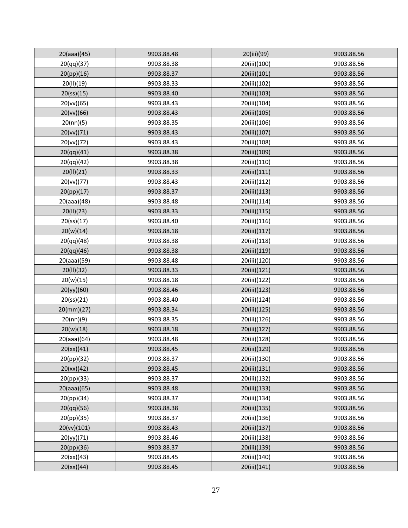| 20(aaa)(45)             | 9903.88.48 | 20(iii)(99)  | 9903.88.56 |
|-------------------------|------------|--------------|------------|
| 20(qq)(37)              | 9903.88.38 | 20(iii)(100) | 9903.88.56 |
| 20(pp)(16)              | 9903.88.37 | 20(iii)(101) | 9903.88.56 |
| 20(11)(19)              | 9903.88.33 | 20(iii)(102) | 9903.88.56 |
| 20(s <sub>5</sub> )(15) | 9903.88.40 | 20(iii)(103) | 9903.88.56 |
| 20(vv)(65)              | 9903.88.43 | 20(iii)(104) | 9903.88.56 |
| 20(vv)(66)              | 9903.88.43 | 20(iii)(105) | 9903.88.56 |
| 20(nn)(5)               | 9903.88.35 | 20(iii)(106) | 9903.88.56 |
| 20(vv)(71)              | 9903.88.43 | 20(iii)(107) | 9903.88.56 |
| 20(vv)(72)              | 9903.88.43 | 20(iii)(108) | 9903.88.56 |
| 20(qq)(41)              | 9903.88.38 | 20(iii)(109) | 9903.88.56 |
| 20(qq)(42)              | 9903.88.38 | 20(iii)(110) | 9903.88.56 |
| 20(11)(21)              | 9903.88.33 | 20(iii)(111) | 9903.88.56 |
| 20(vv)(77)              | 9903.88.43 | 20(iii)(112) | 9903.88.56 |
| 20(pp)(17)              | 9903.88.37 | 20(iii)(113) | 9903.88.56 |
| 20(aaa)(48)             | 9903.88.48 | 20(iii)(114) | 9903.88.56 |
| 20(11)(23)              | 9903.88.33 | 20(iii)(115) | 9903.88.56 |
| 20(s <sub>s</sub> )(17) | 9903.88.40 | 20(iii)(116) | 9903.88.56 |
| 20(w)(14)               | 9903.88.18 | 20(iii)(117) | 9903.88.56 |
| 20(qq)(48)              | 9903.88.38 | 20(iii)(118) | 9903.88.56 |
| 20(qq)(46)              | 9903.88.38 | 20(iii)(119) | 9903.88.56 |
| 20(aaa)(59)             | 9903.88.48 | 20(iii)(120) | 9903.88.56 |
| 20(II)(32)              | 9903.88.33 | 20(iii)(121) | 9903.88.56 |
| 20(w)(15)               | 9903.88.18 | 20(iii)(122) | 9903.88.56 |
| 20(yy)(60)              | 9903.88.46 | 20(iii)(123) | 9903.88.56 |
| 20(s <sub>s</sub> )(21) | 9903.88.40 | 20(iii)(124) | 9903.88.56 |
| $20$ (mm)(27)           | 9903.88.34 | 20(iii)(125) | 9903.88.56 |
| 20(nn)(9)               | 9903.88.35 | 20(iii)(126) | 9903.88.56 |
| 20(w)(18)               | 9903.88.18 | 20(iii)(127) | 9903.88.56 |
| 20(aaa)(64)             | 9903.88.48 | 20(iii)(128) | 9903.88.56 |
| 20(xx)(41)              | 9903.88.45 | 20(iii)(129) | 9903.88.56 |
| 20(pp)(32)              | 9903.88.37 | 20(iii)(130) | 9903.88.56 |
| 20(xx)(42)              | 9903.88.45 | 20(iii)(131) | 9903.88.56 |
| 20(pp)(33)              | 9903.88.37 | 20(iii)(132) | 9903.88.56 |
| 20(aaa)(65)             | 9903.88.48 | 20(iii)(133) | 9903.88.56 |
| 20(pp)(34)              | 9903.88.37 | 20(iii)(134) | 9903.88.56 |
| 20(qq)(56)              | 9903.88.38 | 20(iii)(135) | 9903.88.56 |
| 20(pp)(35)              | 9903.88.37 | 20(iii)(136) | 9903.88.56 |
| 20(vv)(101)             | 9903.88.43 | 20(iii)(137) | 9903.88.56 |
| 20(yy)(71)              | 9903.88.46 | 20(iii)(138) | 9903.88.56 |
| 20(pp)(36)              | 9903.88.37 | 20(iii)(139) | 9903.88.56 |
| 20(xx)(43)              | 9903.88.45 | 20(iii)(140) | 9903.88.56 |
| 20(xx)(44)              | 9903.88.45 | 20(iii)(141) | 9903.88.56 |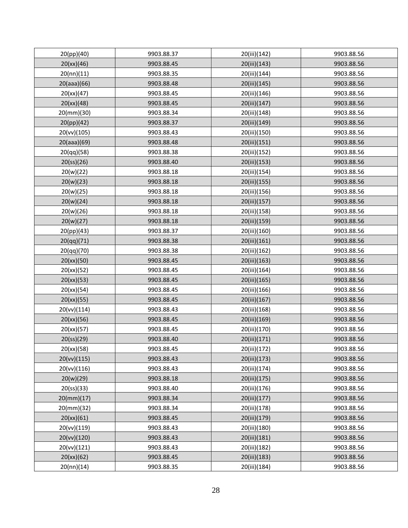| 20(pp)(40)              | 9903.88.37 | 20(iii)(142) | 9903.88.56 |
|-------------------------|------------|--------------|------------|
| 20(xx)(46)              | 9903.88.45 | 20(iii)(143) | 9903.88.56 |
| 20(nn)(11)              | 9903.88.35 | 20(iii)(144) | 9903.88.56 |
| 20(aaa)(66)             | 9903.88.48 | 20(iii)(145) | 9903.88.56 |
| 20(xx)(47)              | 9903.88.45 | 20(iii)(146) | 9903.88.56 |
| 20(xx)(48)              | 9903.88.45 | 20(iii)(147) | 9903.88.56 |
| $20$ (mm)(30)           | 9903.88.34 | 20(iii)(148) | 9903.88.56 |
| 20(pp)(42)              | 9903.88.37 | 20(iii)(149) | 9903.88.56 |
| 20(vv)(105)             | 9903.88.43 | 20(iii)(150) | 9903.88.56 |
| 20(aaa)(69)             | 9903.88.48 | 20(iii)(151) | 9903.88.56 |
| 20(qq)(58)              | 9903.88.38 | 20(iii)(152) | 9903.88.56 |
| 20(s <sub>s</sub> )(26) | 9903.88.40 | 20(iii)(153) | 9903.88.56 |
| 20(w)(22)               | 9903.88.18 | 20(iii)(154) | 9903.88.56 |
| 20(w)(23)               | 9903.88.18 | 20(iii)(155) | 9903.88.56 |
| 20(w)(25)               | 9903.88.18 | 20(iii)(156) | 9903.88.56 |
| 20(w)(24)               | 9903.88.18 | 20(iii)(157) | 9903.88.56 |
| 20(w)(26)               | 9903.88.18 | 20(iii)(158) | 9903.88.56 |
| 20(w)(27)               | 9903.88.18 | 20(iii)(159) | 9903.88.56 |
| 20(pp)(43)              | 9903.88.37 | 20(iii)(160) | 9903.88.56 |
| 20(qq)(71)              | 9903.88.38 | 20(iii)(161) | 9903.88.56 |
| 20(qq)(70)              | 9903.88.38 | 20(iii)(162) | 9903.88.56 |
| 20(xx)(50)              | 9903.88.45 | 20(iii)(163) | 9903.88.56 |
| 20(xx)(52)              | 9903.88.45 | 20(iii)(164) | 9903.88.56 |
| 20(xx)(53)              | 9903.88.45 | 20(iii)(165) | 9903.88.56 |
| 20(xx)(54)              | 9903.88.45 | 20(iii)(166) | 9903.88.56 |
| 20(xx)(55)              | 9903.88.45 | 20(iii)(167) | 9903.88.56 |
| 20(vv)(114)             | 9903.88.43 | 20(iii)(168) | 9903.88.56 |
| 20(xx)(56)              | 9903.88.45 | 20(iii)(169) | 9903.88.56 |
| 20(xx)(57)              | 9903.88.45 | 20(iii)(170) | 9903.88.56 |
| 20(s <sub>s</sub> )(29) | 9903.88.40 | 20(iii)(171) | 9903.88.56 |
| 20(xx)(58)              | 9903.88.45 | 20(iii)(172) | 9903.88.56 |
| 20(vv)(115)             | 9903.88.43 | 20(iii)(173) | 9903.88.56 |
| 20(vv)(116)             | 9903.88.43 | 20(iii)(174) | 9903.88.56 |
| 20(w)(29)               | 9903.88.18 | 20(iii)(175) | 9903.88.56 |
| 20(s <sub>5</sub> )(33) | 9903.88.40 | 20(iii)(176) | 9903.88.56 |
| $20$ (mm)(17)           | 9903.88.34 | 20(iii)(177) | 9903.88.56 |
| $20$ (mm)(32)           | 9903.88.34 | 20(iii)(178) | 9903.88.56 |
| 20(xx)(61)              | 9903.88.45 | 20(iii)(179) | 9903.88.56 |
| 20(vv)(119)             | 9903.88.43 | 20(iii)(180) | 9903.88.56 |
| 20(vv)(120)             | 9903.88.43 | 20(iii)(181) | 9903.88.56 |
| 20(vv)(121)             | 9903.88.43 | 20(iii)(182) | 9903.88.56 |
| 20(xx)(62)              | 9903.88.45 | 20(iii)(183) | 9903.88.56 |
| 20(nn)(14)              | 9903.88.35 | 20(iii)(184) | 9903.88.56 |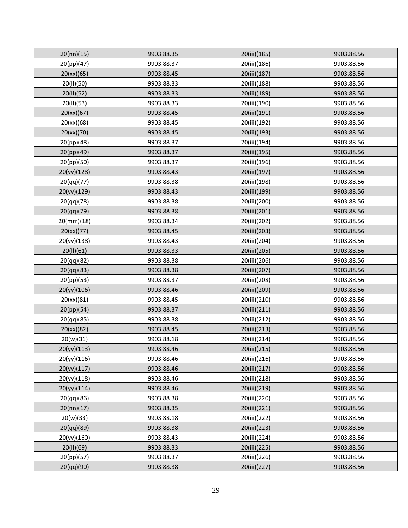| 20(nn)(15)    | 9903.88.35 | 20(iii)(185) | 9903.88.56 |
|---------------|------------|--------------|------------|
| 20(pp)(47)    | 9903.88.37 | 20(iii)(186) | 9903.88.56 |
| 20(xx)(65)    | 9903.88.45 | 20(iii)(187) | 9903.88.56 |
| 20(II)(50)    | 9903.88.33 | 20(iii)(188) | 9903.88.56 |
| 20(11)(52)    | 9903.88.33 | 20(iii)(189) | 9903.88.56 |
| 20(II)(53)    | 9903.88.33 | 20(iii)(190) | 9903.88.56 |
| 20(xx)(67)    | 9903.88.45 | 20(iii)(191) | 9903.88.56 |
| 20(xx)(68)    | 9903.88.45 | 20(iii)(192) | 9903.88.56 |
| 20(xx)(70)    | 9903.88.45 | 20(iii)(193) | 9903.88.56 |
| 20(pp)(48)    | 9903.88.37 | 20(iii)(194) | 9903.88.56 |
| 20(pp)(49)    | 9903.88.37 | 20(iii)(195) | 9903.88.56 |
| 20(pp)(50)    | 9903.88.37 | 20(iii)(196) | 9903.88.56 |
| 20(vv)(128)   | 9903.88.43 | 20(iii)(197) | 9903.88.56 |
| 20(qq)(77)    | 9903.88.38 | 20(iii)(198) | 9903.88.56 |
| 20(vv)(129)   | 9903.88.43 | 20(iii)(199) | 9903.88.56 |
| 20(qq)(78)    | 9903.88.38 | 20(iii)(200) | 9903.88.56 |
| 20(qq)(79)    | 9903.88.38 | 20(iii)(201) | 9903.88.56 |
| $20$ (mm)(18) | 9903.88.34 | 20(iii)(202) | 9903.88.56 |
| 20(xx)(77)    | 9903.88.45 | 20(iii)(203) | 9903.88.56 |
| 20(vv)(138)   | 9903.88.43 | 20(iii)(204) | 9903.88.56 |
| 20(11)(61)    | 9903.88.33 | 20(iii)(205) | 9903.88.56 |
| 20(qq)(82)    | 9903.88.38 | 20(iii)(206) | 9903.88.56 |
| 20(qq)(83)    | 9903.88.38 | 20(iii)(207) | 9903.88.56 |
| 20(pp)(53)    | 9903.88.37 | 20(iii)(208) | 9903.88.56 |
| 20(yy)(106)   | 9903.88.46 | 20(iii)(209) | 9903.88.56 |
| 20(xx)(81)    | 9903.88.45 | 20(iii)(210) | 9903.88.56 |
| 20(pp)(54)    | 9903.88.37 | 20(iii)(211) | 9903.88.56 |
| 20(qq)(85)    | 9903.88.38 | 20(iii)(212) | 9903.88.56 |
| 20(xx)(82)    | 9903.88.45 | 20(iii)(213) | 9903.88.56 |
| 20(w)(31)     | 9903.88.18 | 20(iii)(214) | 9903.88.56 |
| 20(yy)(113)   | 9903.88.46 | 20(iii)(215) | 9903.88.56 |
| 20(yy)(116)   | 9903.88.46 | 20(iii)(216) | 9903.88.56 |
| 20(yy)(117)   | 9903.88.46 | 20(iii)(217) | 9903.88.56 |
| 20(yy)(118)   | 9903.88.46 | 20(iii)(218) | 9903.88.56 |
| 20(yy)(114)   | 9903.88.46 | 20(iii)(219) | 9903.88.56 |
| 20(qq)(86)    | 9903.88.38 | 20(iii)(220) | 9903.88.56 |
| 20(nn)(17)    | 9903.88.35 | 20(iii)(221) | 9903.88.56 |
| 20(w)(33)     | 9903.88.18 | 20(iii)(222) | 9903.88.56 |
| 20(qq)(89)    | 9903.88.38 | 20(iii)(223) | 9903.88.56 |
| 20(vv)(160)   | 9903.88.43 | 20(iii)(224) | 9903.88.56 |
| 20(11)(69)    | 9903.88.33 | 20(iii)(225) | 9903.88.56 |
| 20(pp)(57)    | 9903.88.37 | 20(iii)(226) | 9903.88.56 |
| 20(qq)(90)    | 9903.88.38 | 20(iii)(227) | 9903.88.56 |